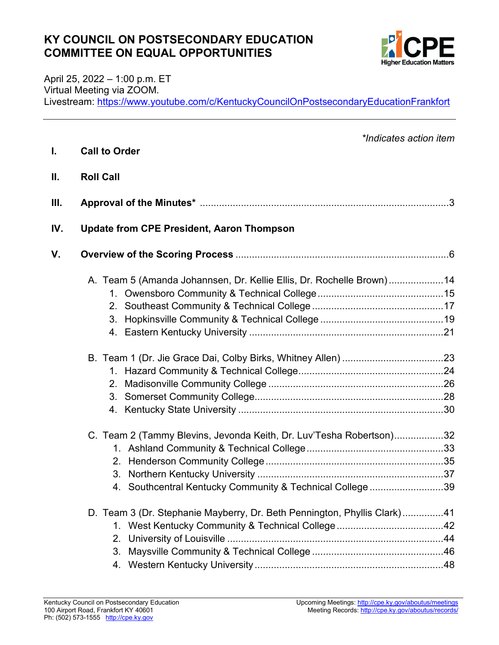#### **KY COUNCIL ON POSTSECONDARY EDUCATION COMMITTEE ON EQUAL OPPORTUNITIES**



April 25, 2022 – 1:00 p.m. ET Virtual Meeting via ZOOM. Livestream:<https://www.youtube.com/c/KentuckyCouncilOnPostsecondaryEducationFrankfort>

| L.   | *Indicates action item<br><b>Call to Order</b>                           |  |
|------|--------------------------------------------------------------------------|--|
| Ш.   | <b>Roll Call</b>                                                         |  |
| III. |                                                                          |  |
| IV.  | <b>Update from CPE President, Aaron Thompson</b>                         |  |
| V.   |                                                                          |  |
|      | A. Team 5 (Amanda Johannsen, Dr. Kellie Ellis, Dr. Rochelle Brown)14     |  |
|      |                                                                          |  |
|      |                                                                          |  |
|      |                                                                          |  |
|      |                                                                          |  |
|      |                                                                          |  |
|      |                                                                          |  |
|      | 2.                                                                       |  |
|      |                                                                          |  |
|      |                                                                          |  |
|      | C. Team 2 (Tammy Blevins, Jevonda Keith, Dr. Luv'Tesha Robertson)32      |  |
|      |                                                                          |  |
|      |                                                                          |  |
|      |                                                                          |  |
|      | 4. Southcentral Kentucky Community & Technical College 39                |  |
|      | D. Team 3 (Dr. Stephanie Mayberry, Dr. Beth Pennington, Phyllis Clark)41 |  |
|      |                                                                          |  |
|      | 2.                                                                       |  |
|      | 3.                                                                       |  |
|      |                                                                          |  |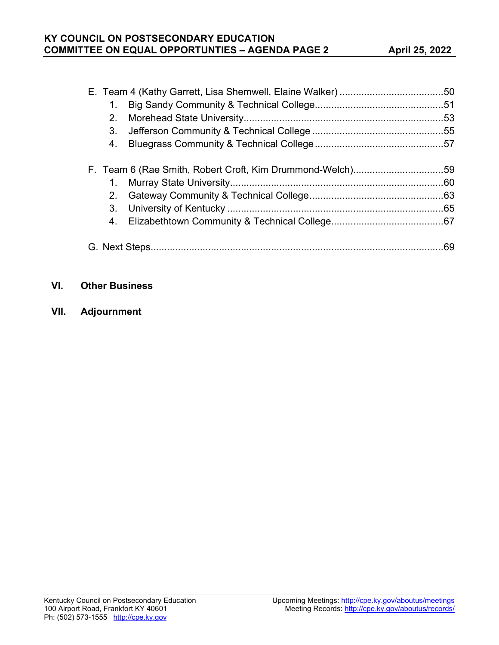| $1_{-}$        |                                                           |     |
|----------------|-----------------------------------------------------------|-----|
| 2.             |                                                           |     |
| 3 <sub>1</sub> |                                                           |     |
|                |                                                           |     |
|                | F. Team 6 (Rae Smith, Robert Croft, Kim Drummond-Welch)59 |     |
|                |                                                           |     |
|                |                                                           |     |
| 3.             |                                                           |     |
|                |                                                           |     |
|                |                                                           | .69 |

#### **VI. Other Business**

**VII. Adjournment**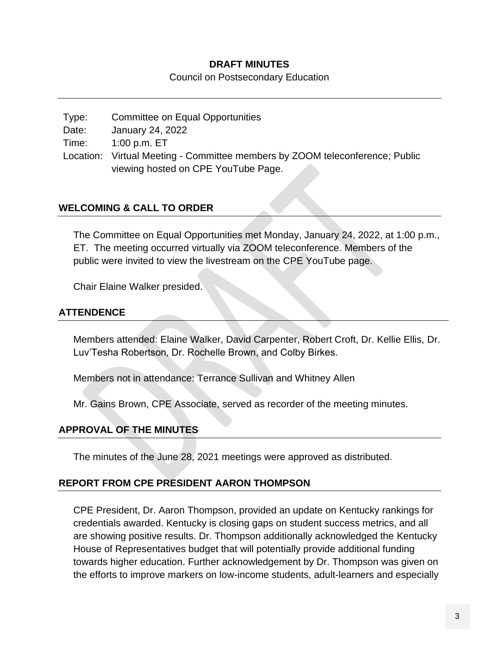#### **DRAFT MINUTES**

Council on Postsecondary Education

Type: Committee on Equal Opportunities Date: January 24, 2022 Time: 1:00 p.m. ET Location: Virtual Meeting - Committee members by ZOOM teleconference; Public viewing hosted on CPE YouTube Page.

#### **WELCOMING & CALL TO ORDER**

The Committee on Equal Opportunities met Monday, January 24, 2022, at 1:00 p.m., ET. The meeting occurred virtually via ZOOM teleconference. Members of the public were invited to view the livestream on the CPE YouTube page.

Chair Elaine Walker presided.

#### **ATTENDENCE**

Members attended: Elaine Walker, David Carpenter, Robert Croft, Dr. Kellie Ellis, Dr. Luv'Tesha Robertson, Dr. Rochelle Brown, and Colby Birkes.

Members not in attendance: Terrance Sullivan and Whitney Allen

Mr. Gains Brown, CPE Associate, served as recorder of the meeting minutes.

#### **APPROVAL OF THE MINUTES**

The minutes of the June 28, 2021 meetings were approved as distributed.

#### **REPORT FROM CPE PRESIDENT AARON THOMPSON**

CPE President, Dr. Aaron Thompson, provided an update on Kentucky rankings for credentials awarded. Kentucky is closing gaps on student success metrics, and all are showing positive results. Dr. Thompson additionally acknowledged the Kentucky House of Representatives budget that will potentially provide additional funding towards higher education. Further acknowledgement by Dr. Thompson was given on the efforts to improve markers on low-income students, adult-learners and especially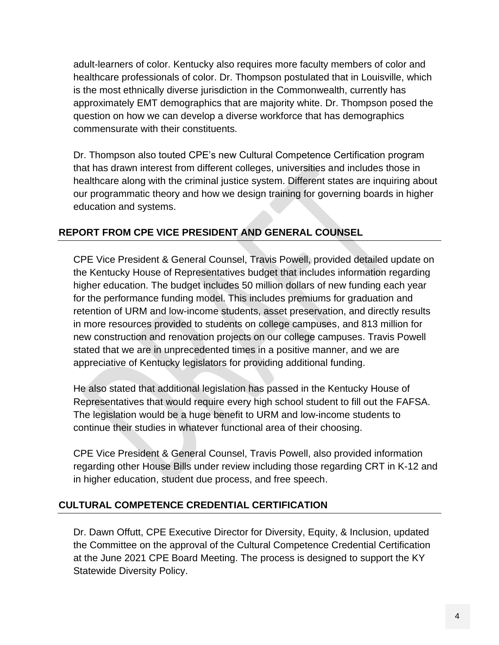adult-learners of color. Kentucky also requires more faculty members of color and healthcare professionals of color. Dr. Thompson postulated that in Louisville, which is the most ethnically diverse jurisdiction in the Commonwealth, currently has approximately EMT demographics that are majority white. Dr. Thompson posed the question on how we can develop a diverse workforce that has demographics commensurate with their constituents.

Dr. Thompson also touted CPE's new Cultural Competence Certification program that has drawn interest from different colleges, universities and includes those in healthcare along with the criminal justice system. Different states are inquiring about our programmatic theory and how we design training for governing boards in higher education and systems.

#### **REPORT FROM CPE VICE PRESIDENT AND GENERAL COUNSEL**

CPE Vice President & General Counsel, Travis Powell, provided detailed update on the Kentucky House of Representatives budget that includes information regarding higher education. The budget includes 50 million dollars of new funding each year for the performance funding model. This includes premiums for graduation and retention of URM and low-income students, asset preservation, and directly results in more resources provided to students on college campuses, and 813 million for new construction and renovation projects on our college campuses. Travis Powell stated that we are in unprecedented times in a positive manner, and we are appreciative of Kentucky legislators for providing additional funding.

He also stated that additional legislation has passed in the Kentucky House of Representatives that would require every high school student to fill out the FAFSA. The legislation would be a huge benefit to URM and low-income students to continue their studies in whatever functional area of their choosing.

CPE Vice President & General Counsel, Travis Powell, also provided information regarding other House Bills under review including those regarding CRT in K-12 and in higher education, student due process, and free speech.

#### **CULTURAL COMPETENCE CREDENTIAL CERTIFICATION**

Dr. Dawn Offutt, CPE Executive Director for Diversity, Equity, & Inclusion, updated the Committee on the approval of the Cultural Competence Credential Certification at the June 2021 CPE Board Meeting. The process is designed to support the KY Statewide Diversity Policy.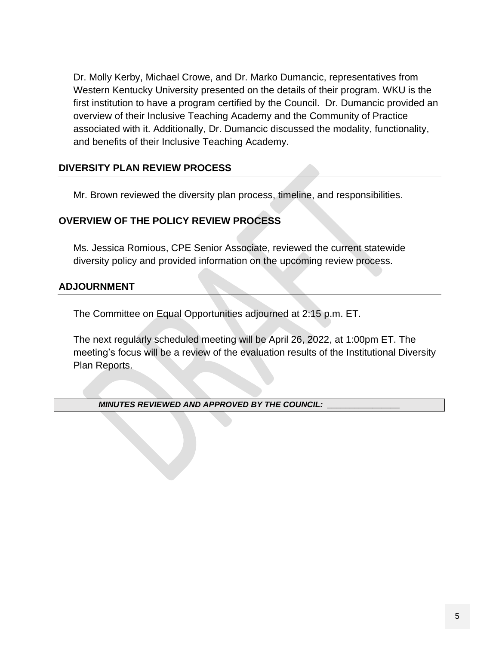Dr. Molly Kerby, Michael Crowe, and Dr. Marko Dumancic, representatives from Western Kentucky University presented on the details of their program. WKU is the first institution to have a program certified by the Council. Dr. Dumancic provided an overview of their Inclusive Teaching Academy and the Community of Practice associated with it. Additionally, Dr. Dumancic discussed the modality, functionality, and benefits of their Inclusive Teaching Academy.

#### **DIVERSITY PLAN REVIEW PROCESS**

Mr. Brown reviewed the diversity plan process, timeline, and responsibilities.

#### **OVERVIEW OF THE POLICY REVIEW PROCESS**

Ms. Jessica Romious, CPE Senior Associate, reviewed the current statewide diversity policy and provided information on the upcoming review process.

#### **ADJOURNMENT**

The Committee on Equal Opportunities adjourned at 2:15 p.m. ET.

The next regularly scheduled meeting will be April 26, 2022, at 1:00pm ET. The meeting's focus will be a review of the evaluation results of the Institutional Diversity Plan Reports.

*MINUTES REVIEWED AND APPROVED BY THE COUNCIL: \_\_\_\_\_\_\_\_\_\_\_\_\_\_\_\_*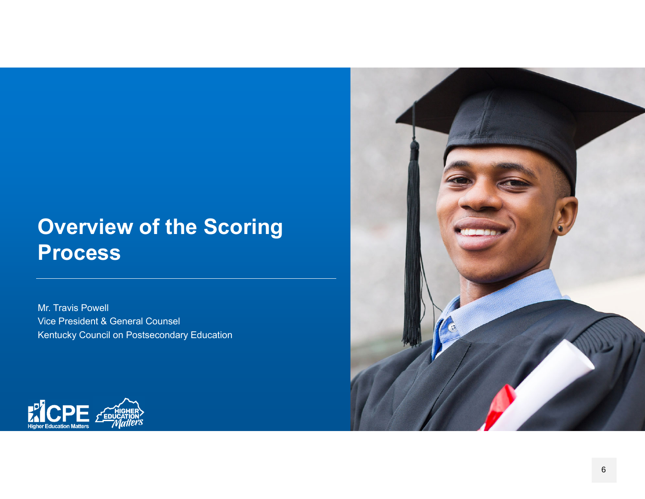# **Overview of the Scoring Process**

Mr. Travis Powell Vice President & General Counsel Kentucky Council on Postsecondary Education



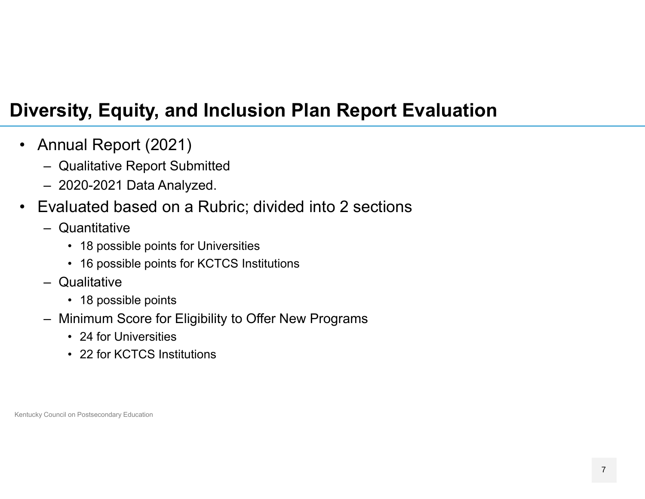## **Diversity, Equity, and Inclusion Plan Report Evaluation**

- $\bullet$  Annual Report (2021)
	- Qualitative Report Submitted
	- 2020-2021 Data Analyzed.
- $\bullet$  Evaluated based on a Rubric; divided into 2 sections
	- Quantitative
		- 18 possible points for Universities
		- 16 possible points for KCTCS Institutions
	- Qualitative
		- 18 possible points
	- Minimum Score for Eligibility to Offer New Programs
		- 24 for Universities
		- 22 for KCTCS Institutions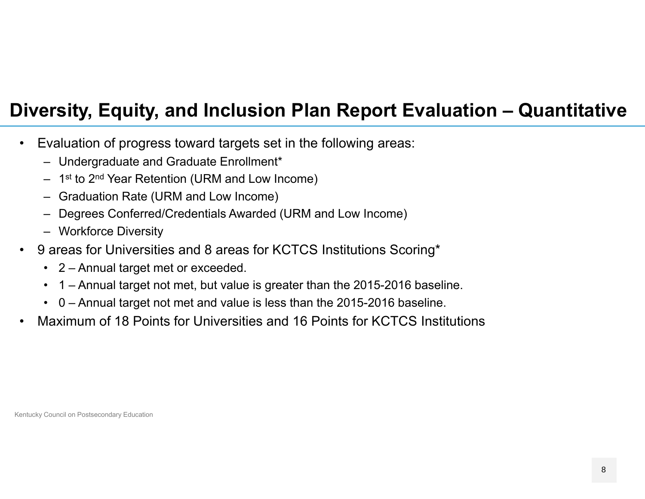## **Diversity, Equity, and Inclusion Plan Report Evaluation – Quantitative**

- $\bullet$  Evaluation of progress toward targets set in the following areas:
	- Undergraduate and Graduate Enrollment\*
	- $-$  1st to 2nd Year Retention (URM and Low Income)
	- Graduation Rate (URM and Low Income)
	- Degrees Conferred/Credentials Awarded (URM and Low Income)
	- Workforce Diversity
- $\bullet$  9 areas for Universities and 8 areas for KCTCS Institutions Scoring\*
	- 2 Annual target met or exceeded.
	- 1 Annual target not met, but value is greater than the 2015-2016 baseline.
	- 0 Annual target not met and value is less than the 2015-2016 baseline.
- •Maximum of 18 Points for Universities and 16 Points for KCTCS Institutions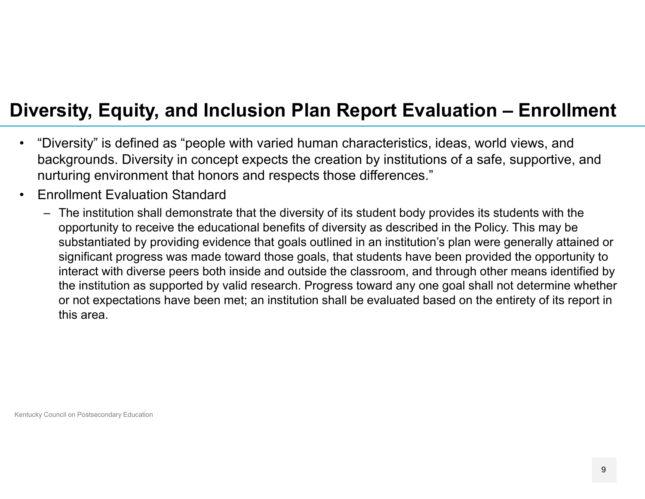## **Diversity, Equity, and Inclusion Plan Report Evaluation – Enrollment**

- $\bullet$  "Diversity" is defined as "people with varied human characteristics, ideas, world views, and backgrounds. Diversity in concept expects the creation by institutions of a safe, supportive, and nurturing environment that honors and respects those differences."
- • Enrollment Evaluation Standard
	- The institution shall demonstrate that the diversity of its student body provides its students with the opportunity to receive the educational benefits of diversity as described in the Policy. This may be substantiated by providing evidence that goals outlined in an institution's plan were generally attained or significant progress was made toward those goals, that students have been provided the opportunity to interact with diverse peers both inside and outside the classroom, and through other means identified by the institution as supported by valid research. Progress toward any one goal shall not determine whether or not expectations have been met; an institution shall be evaluated based on the entirety of its report in this area.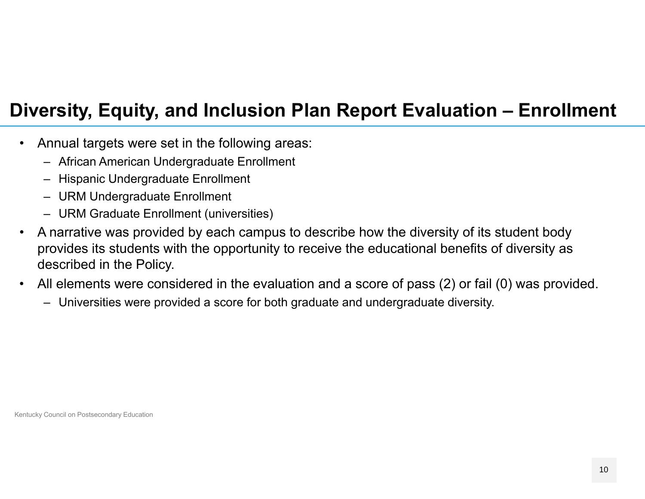## **Diversity, Equity, and Inclusion Plan Report Evaluation – Enrollment**

- $\bullet$  Annual targets were set in the following areas:
	- African American Undergraduate Enrollment
	- Hispanic Undergraduate Enrollment
	- URM Undergraduate Enrollment
	- URM Graduate Enrollment (universities)
- • A narrative was provided by each campus to describe how the diversity of its student body provides its students with the opportunity to receive the educational benefits of diversity as described in the Policy.
- • All elements were considered in the evaluation and a score of pass (2) or fail (0) was provided.
	- Universities were provided a score for both graduate and undergraduate diversity.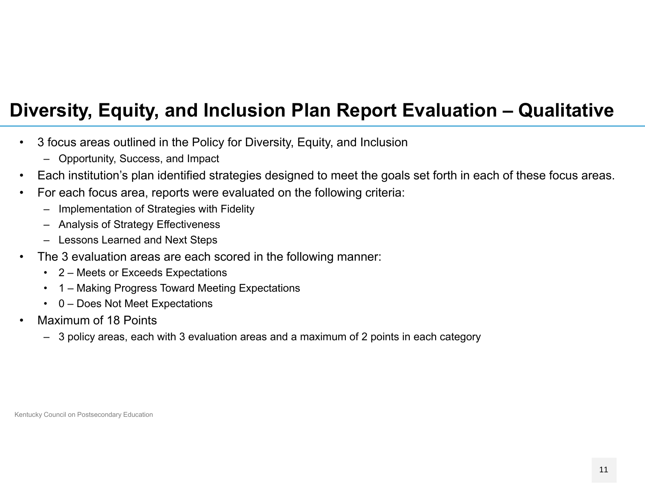## **Diversity, Equity, and Inclusion Plan Report Evaluation – Qualitative**

- $\bullet$  3 focus areas outlined in the Policy for Diversity, Equity, and Inclusion
	- Opportunity, Success, and Impact
- •Each institution's plan identified strategies designed to meet the goals set forth in each of these focus areas.
- • For each focus area, reports were evaluated on the following criteria:
	- –Implementation of Strategies with Fidelity
	- Analysis of Strategy Effectiveness
	- Lessons Learned and Next Steps
- • The 3 evaluation areas are each scored in the following manner:
	- 2 Meets or Exceeds Expectations
	- 1 Making Progress Toward Meeting Expectations
	- 0 Does Not Meet Expectations
- • Maximum of 18 Points
	- 3 policy areas, each with 3 evaluation areas and a maximum of 2 points in each category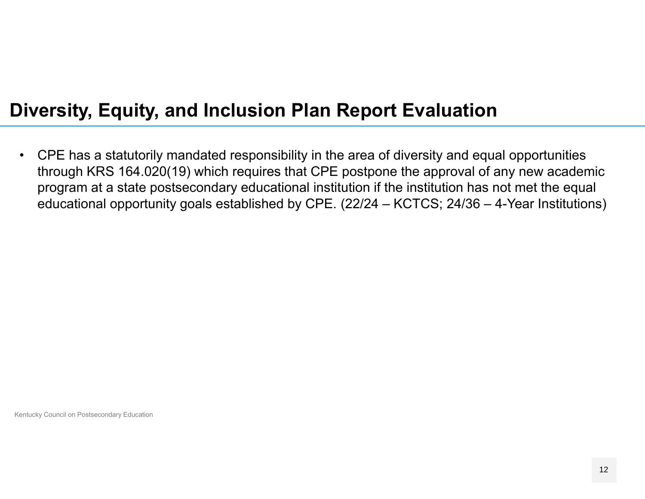## **Diversity, Equity, and Inclusion Plan Report Evaluation**

 $\bullet$  CPE has a statutorily mandated responsibility in the area of diversity and equal opportunities through KRS 164.020(19) which requires that CPE postpone the approval of any new academic program at a state postsecondary educational institution if the institution has not met the equal educational opportunity goals established by CPE. (22/24 – KCTCS; 24/36 – 4-Year Institutions)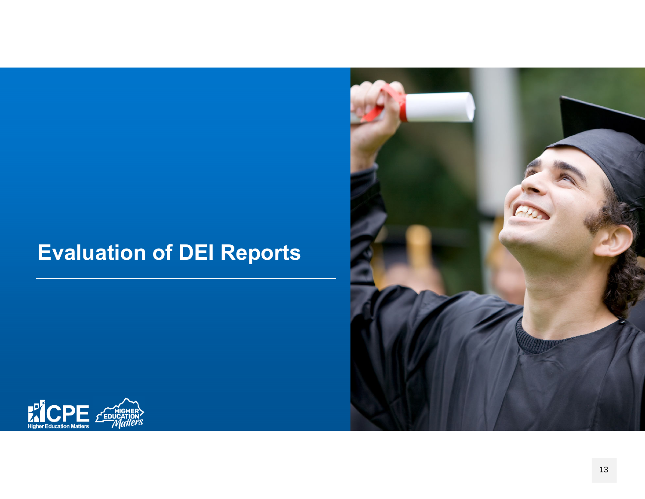# **Evaluation of DEI Reports**



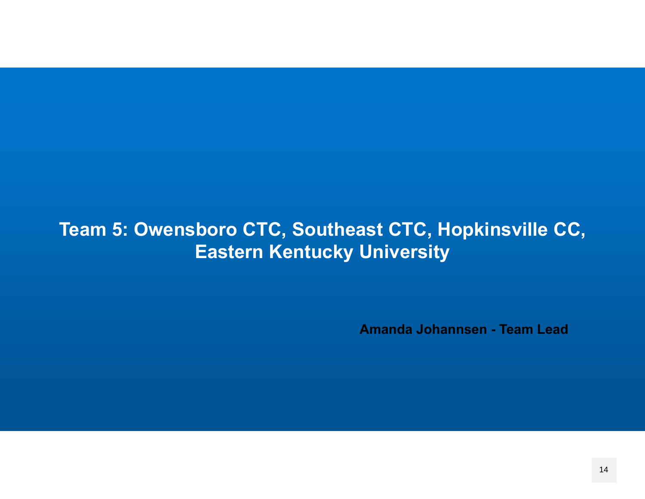## **Team 5: Owensboro CTC, Southeast CTC, Hopkinsville CC, Eastern Kentucky University**

**Amanda Johannsen - Team Lead**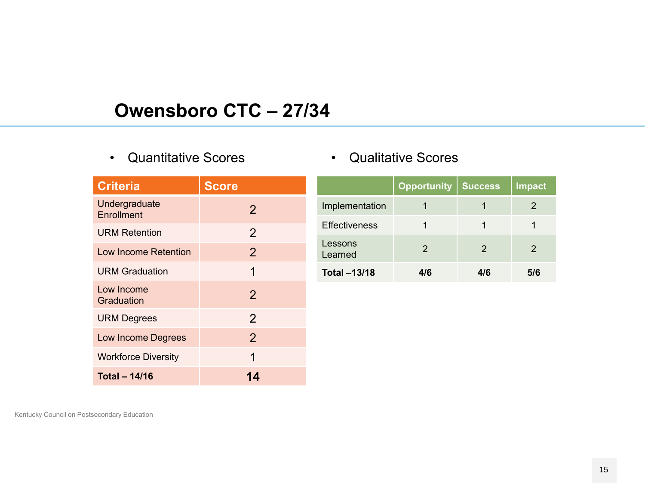#### **Owensboro CTC – 27/34**

• Quantitative Scores

| <b>Criteria</b>                    | <b>Score</b>   |
|------------------------------------|----------------|
| Undergraduate<br><b>Enrollment</b> | $\overline{2}$ |
| <b>URM Retention</b>               | $\overline{2}$ |
| Low Income Retention               | $\overline{2}$ |
| <b>URM Graduation</b>              | 1              |
| Low Income<br>Graduation           | $\overline{2}$ |
| <b>URM Degrees</b>                 | $\overline{2}$ |
| <b>Low Income Degrees</b>          | $\overline{2}$ |
| <b>Workforce Diversity</b>         | 1              |
| <b>Total - 14/16</b>               | 14             |

|                      | Opportunity   | <b>Success</b>   | Impact |
|----------------------|---------------|------------------|--------|
| Implementation       |               |                  |        |
| <b>Effectiveness</b> |               |                  |        |
| Lessons<br>Learned   | $\mathcal{P}$ | 2                | 2      |
| <b>Total -13/18</b>  | 416           | $\overline{4/6}$ | 5/6    |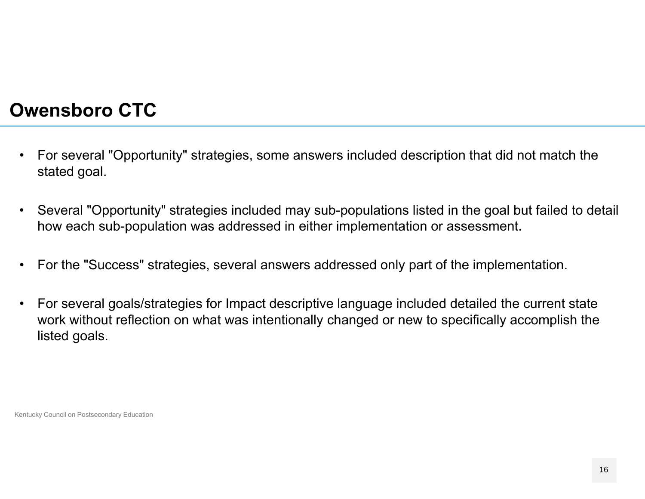#### **Owensboro CTC**

- $\bullet$  For several "Opportunity" strategies, some answers included description that did not match the stated goal.
- $\bullet$  Several "Opportunity" strategies included may sub-populations listed in the goal but failed to detail how each sub-population was addressed in either implementation or assessment.
- $\bullet$ For the "Success" strategies, several answers addressed only part of the implementation.
- $\bullet$  For several goals/strategies for Impact descriptive language included detailed the current state work without reflection on what was intentionally changed or new to specifically accomplish the listed goals.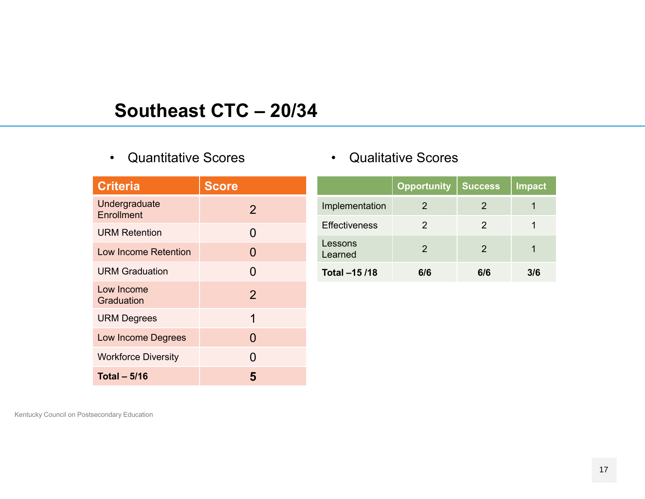#### **Southeast CTC – 20/34**

• Quantitative Scores

| <b>Criteria</b>             | <b>Score</b>   |
|-----------------------------|----------------|
| Undergraduate<br>Enrollment | $\overline{2}$ |
| <b>URM Retention</b>        | 0              |
| Low Income Retention        | 0              |
| <b>URM Graduation</b>       | 0              |
| Low Income<br>Graduation    | $\overline{2}$ |
| <b>URM Degrees</b>          | 1              |
| <b>Low Income Degrees</b>   | 0              |
| <b>Workforce Diversity</b>  | O              |
| Total $-5/16$               | 5              |

|  | <b>Qualitative Scores</b> |  |
|--|---------------------------|--|
|--|---------------------------|--|

|                      | <b>Opportunity</b> | <b>Success</b> | <b>Impact</b> |
|----------------------|--------------------|----------------|---------------|
| Implementation       | 2                  | 2              |               |
| <b>Effectiveness</b> | 2                  | 2              |               |
| Lessons<br>Learned   | $\mathcal{P}$      | 2              |               |
| Total -15 /18        | 6/6                | 616            | 3/6           |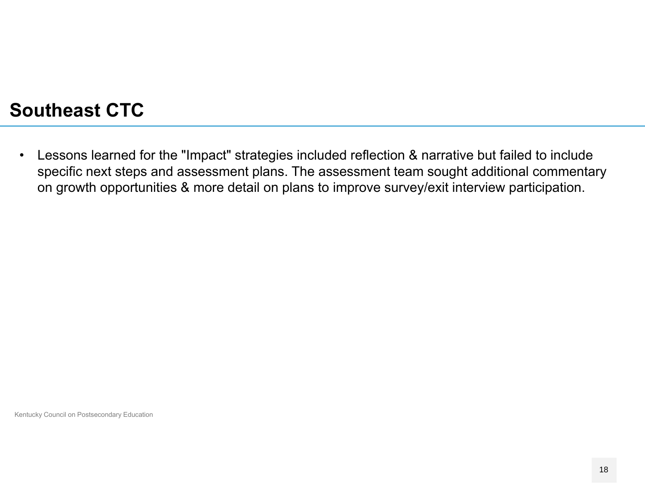#### **Southeast CTC**

 $\bullet$  Lessons learned for the "Impact" strategies included reflection & narrative but failed to include specific next steps and assessment plans. The assessment team sought additional commentary on growth opportunities & more detail on plans to improve survey/exit interview participation.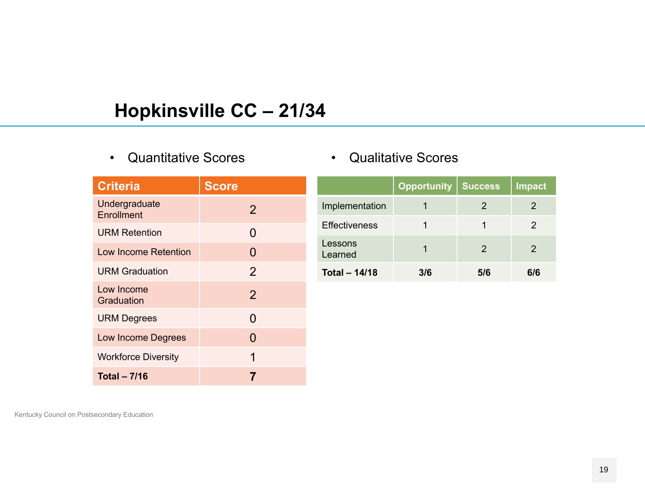## **Hopkinsville CC – 21/34**

•Quantitative Scores

| <b>Criteria</b>                    | <b>Score</b>   |
|------------------------------------|----------------|
| Undergraduate<br><b>Enrollment</b> | $\overline{2}$ |
| <b>URM Retention</b>               | 0              |
| Low Income Retention               | 0              |
| <b>URM Graduation</b>              | $\overline{2}$ |
| Low Income<br>Graduation           | $\overline{2}$ |
| <b>URM Degrees</b>                 | 0              |
| <b>Low Income Degrees</b>          | 0              |
| <b>Workforce Diversity</b>         | 1              |
| <b>Total - 7/16</b>                | 7              |

|  | <b>Qualitative Scores</b> |  |
|--|---------------------------|--|
|--|---------------------------|--|

|                      | <b>Opportunity</b> | <b>Success</b> | Impact |
|----------------------|--------------------|----------------|--------|
| Implementation       |                    | 2              | 2      |
| <b>Effectiveness</b> |                    |                | 2      |
| Lessons<br>Learned   |                    | 2              | 2      |
| <b>Total - 14/18</b> | 3/6                | 5/6            | 6/6    |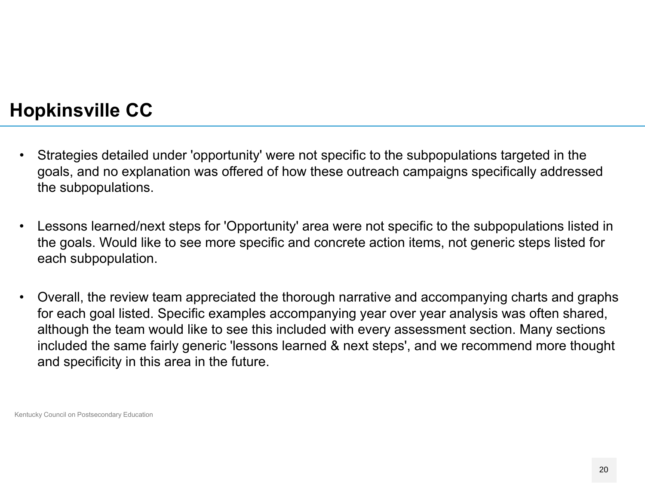#### **Hopkinsville CC**

- $\bullet$  Strategies detailed under 'opportunity' were not specific to the subpopulations targeted in the goals, and no explanation was offered of how these outreach campaigns specifically addressed the subpopulations.
- $\bullet$  Lessons learned/next steps for 'Opportunity' area were not specific to the subpopulations listed in the goals. Would like to see more specific and concrete action items, not generic steps listed for each subpopulation.
- $\bullet$  Overall, the review team appreciated the thorough narrative and accompanying charts and graphs for each goal listed. Specific examples accompanying year over year analysis was often shared, although the team would like to see this included with every assessment section. Many sections included the same fairly generic 'lessons learned & next steps', and we recommend more thought and specificity in this area in the future.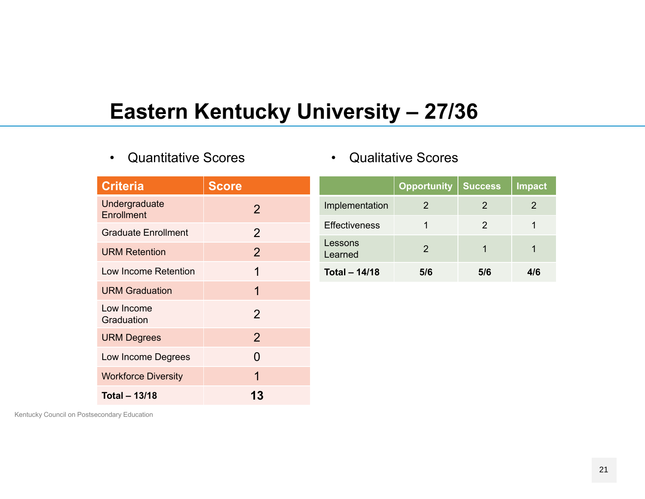# **Eastern Kentucky University – 27/36**

•Quantitative Scores

| <b>Qualitative Scores</b> |  |
|---------------------------|--|
|---------------------------|--|

| <b>Criteria</b>                    | <b>Score</b>   |                      | <b>Opportunity</b> | <b>Success</b> | <b>Impact</b>  |
|------------------------------------|----------------|----------------------|--------------------|----------------|----------------|
| Undergraduate<br><b>Enrollment</b> | 2              | Implementation       | 2                  | $\overline{2}$ | $\overline{2}$ |
| <b>Graduate Enrollment</b>         | $\overline{2}$ | <b>Effectiveness</b> | 1                  | $\overline{2}$ | 1              |
| <b>URM Retention</b>               | $\overline{2}$ | Lessons<br>Learned   | $\overline{2}$     | $\overline{1}$ | 1              |
| Low Income Retention               | 1              | <b>Total - 14/18</b> | 5/6                | 5/6            | 4/6            |
| <b>URM Graduation</b>              | 1              |                      |                    |                |                |
| Low Income<br>Graduation           | $\overline{2}$ |                      |                    |                |                |
| <b>URM Degrees</b>                 | $\overline{2}$ |                      |                    |                |                |
| Low Income Degrees                 | $\Omega$       |                      |                    |                |                |
| <b>Workforce Diversity</b>         | 1              |                      |                    |                |                |

**13**

Kentucky Council on Postsecondary Education

**Total – 13/18**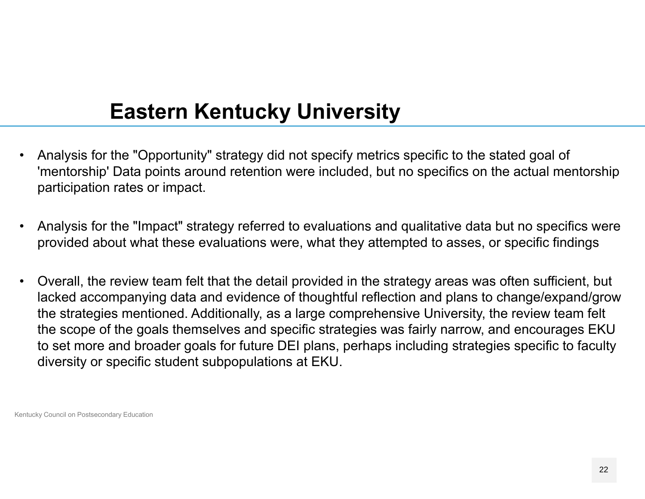# **Eastern Kentucky University**

- • Analysis for the "Opportunity" strategy did not specify metrics specific to the stated goal of 'mentorship' Data points around retention were included, but no specifics on the actual mentorship participation rates or impact.
- • Analysis for the "Impact" strategy referred to evaluations and qualitative data but no specifics were provided about what these evaluations were, what they attempted to asses, or specific findings
- • Overall, the review team felt that the detail provided in the strategy areas was often sufficient, but lacked accompanying data and evidence of thoughtful reflection and plans to change/expand/grow the strategies mentioned. Additionally, as a large comprehensive University, the review team felt the scope of the goals themselves and specific strategies was fairly narrow, and encourages EKU to set more and broader goals for future DEI plans, perhaps including strategies specific to faculty diversity or specific student subpopulations at EKU.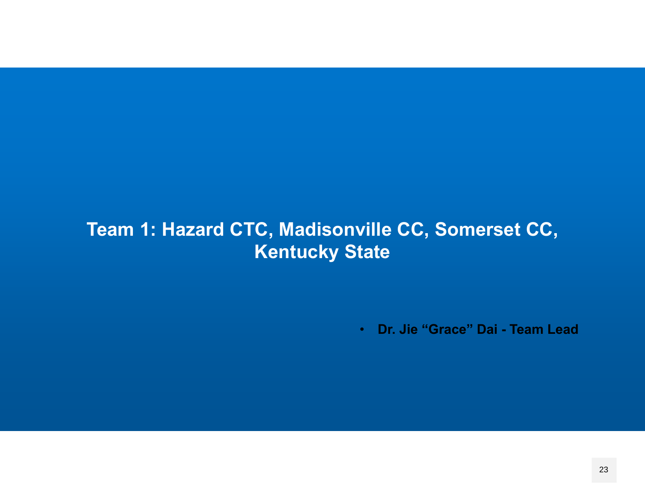## **Team 1: Hazard CTC, Madisonville CC, Somerset CC, Kentucky State**

• **Dr. Jie "Grace" Dai - Team Lead**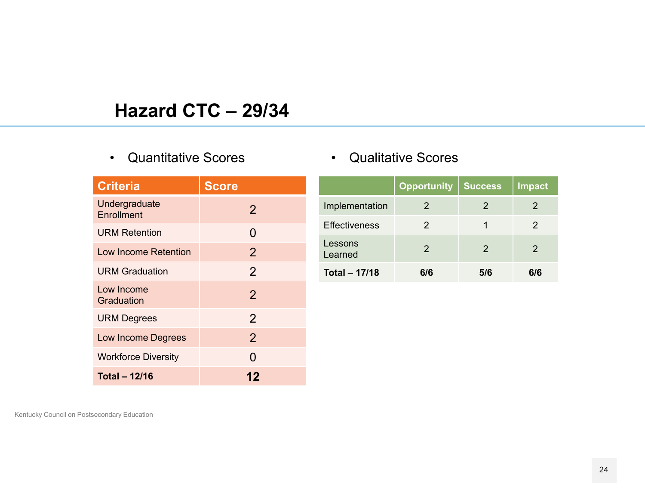#### **Hazard CTC – 29/34**

#### •Quantitative Scores

| <b>Criteria</b>             | <b>Score</b>   |
|-----------------------------|----------------|
| Undergraduate<br>Enrollment | 2              |
| <b>URM Retention</b>        | 0              |
| Low Income Retention        | $\overline{2}$ |
| <b>URM Graduation</b>       | $\overline{2}$ |
| Low Income<br>Graduation    | $\overline{2}$ |
| <b>URM Degrees</b>          | $\overline{2}$ |
| <b>Low Income Degrees</b>   | $\overline{2}$ |
| <b>Workforce Diversity</b>  | N              |
| <b>Total - 12/16</b>        | 12             |

#### • Qualitative Scores

|                      | <b>Opportunity</b> | <b>Success</b> | <b>Impact</b> |
|----------------------|--------------------|----------------|---------------|
| Implementation       | 2                  | 2              |               |
| <b>Effectiveness</b> | 2                  |                | 2             |
| Lessons<br>Learned   | 2                  | $\mathcal{P}$  | 2             |
| <b>Total - 17/18</b> | 6/6                | 5/6            | 6/6           |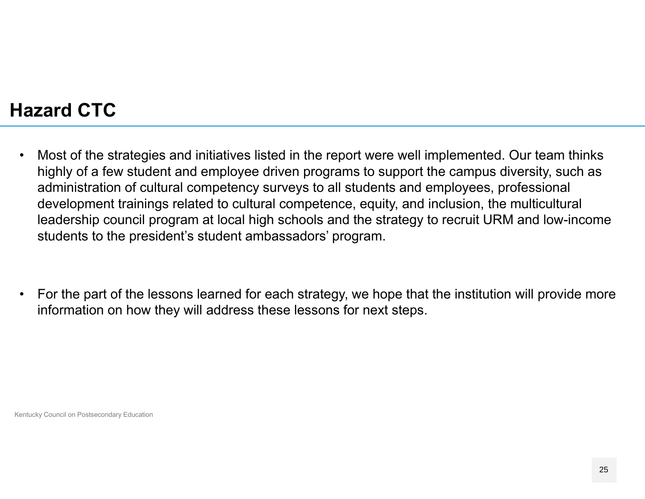## **Hazard CTC**

- • Most of the strategies and initiatives listed in the report were well implemented. Our team thinks highly of a few student and employee driven programs to support the campus diversity, such as administration of cultural competency surveys to all students and employees, professional development trainings related to cultural competence, equity, and inclusion, the multicultural leadership council program at local high schools and the strategy to recruit URM and low-income students to the president's student ambassadors' program.
- • For the part of the lessons learned for each strategy, we hope that the institution will provide more information on how they will address these lessons for next steps.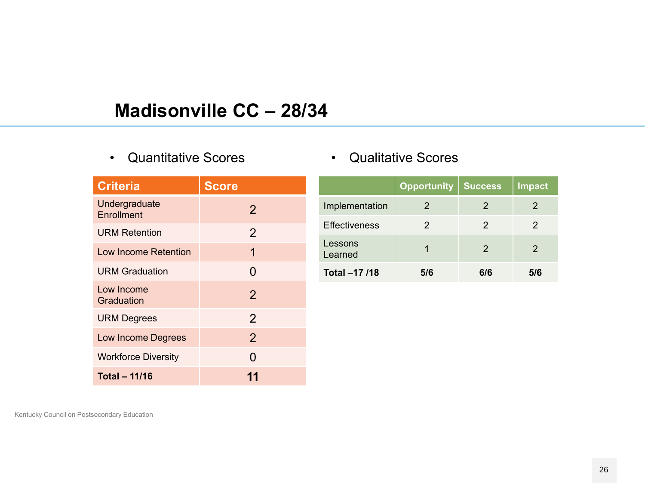#### **Madisonville CC – 28/34**

•Quantitative Scores

| <b>Criteria</b>             | <b>Score</b>   |
|-----------------------------|----------------|
| Undergraduate<br>Enrollment | $\overline{2}$ |
| <b>URM Retention</b>        | $\overline{2}$ |
| Low Income Retention        | 1              |
| <b>URM Graduation</b>       | 0              |
| Low Income<br>Graduation    | $\overline{2}$ |
| <b>URM Degrees</b>          | $\overline{2}$ |
| <b>Low Income Degrees</b>   | $\overline{2}$ |
| <b>Workforce Diversity</b>  | O              |
| <b>Total - 11/16</b>        |                |

|  | <b>Qualitative Scores</b> |  |
|--|---------------------------|--|
|--|---------------------------|--|

|                      | <b>Opportunity</b> | <b>Success</b> | <b>Impact</b> |
|----------------------|--------------------|----------------|---------------|
| Implementation       | 2                  | 2              | 2             |
| <b>Effectiveness</b> | 2                  | $\mathcal{P}$  | 2             |
| Lessons<br>Learned   |                    | $\mathcal{P}$  | 2             |
| Total -17 /18        | 5/6                | 6/6            | 5/6           |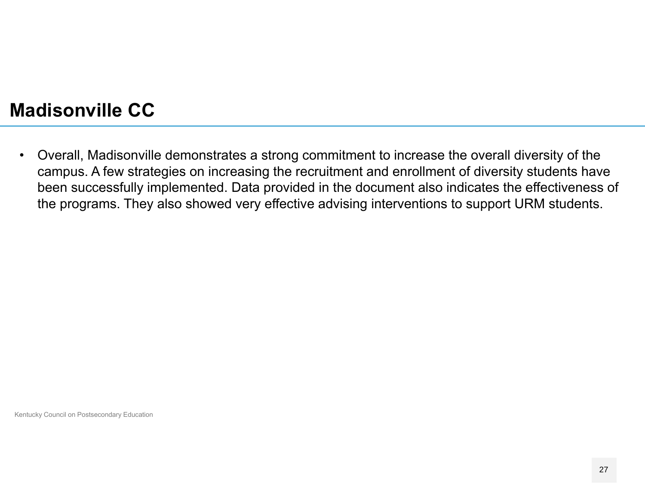#### **Madisonville CC**

 $\bullet$  Overall, Madisonville demonstrates a strong commitment to increase the overall diversity of the campus. A few strategies on increasing the recruitment and enrollment of diversity students have been successfully implemented. Data provided in the document also indicates the effectiveness of the programs. They also showed very effective advising interventions to support URM students.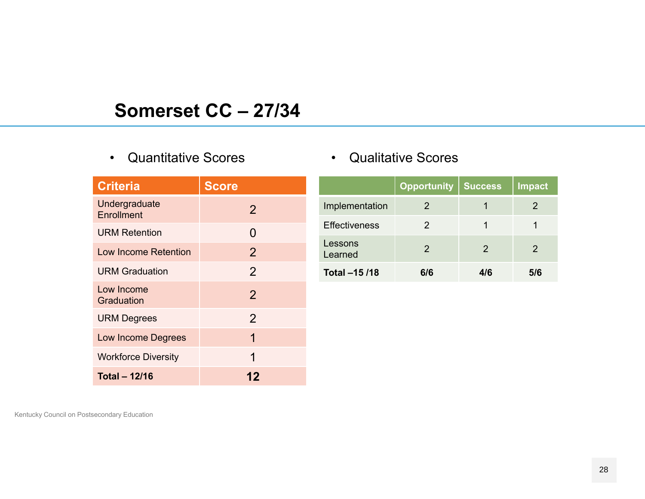### **Somerset CC – 27/34**

#### •Quantitative Scores

| <b>Criteria</b>             | <b>Score</b>   |
|-----------------------------|----------------|
| Undergraduate<br>Enrollment | $\overline{2}$ |
| <b>URM Retention</b>        | 0              |
| Low Income Retention        | $\overline{2}$ |
| <b>URM Graduation</b>       | $\overline{2}$ |
| Low Income<br>Graduation    | $\overline{2}$ |
| <b>URM Degrees</b>          | 2              |
| <b>Low Income Degrees</b>   | 1              |
| <b>Workforce Diversity</b>  | 1              |
| <b>Total - 12/16</b>        | 12             |

#### • Qualitative Scores

|                      | <b>Opportunity</b>                                                                                                                                                                                                                                                                                                                                                                                                                                           | <b>Success</b> | <b>Impact</b> |
|----------------------|--------------------------------------------------------------------------------------------------------------------------------------------------------------------------------------------------------------------------------------------------------------------------------------------------------------------------------------------------------------------------------------------------------------------------------------------------------------|----------------|---------------|
| Implementation       | $\mathcal{D}% =\mathcal{D}_{1}\mathcal{D}_{2}\mathcal{D}_{2}\mathcal{D}_{1} \mathcal{D}_{3} \mathcal{D}_{4} \mathcal{D}_{5} \mathcal{D}_{6} \mathcal{D}_{7} \mathcal{D}_{8} \mathcal{D}_{9} \mathcal{D}_{1} \mathcal{D}_{1} \mathcal{D}_{1} \mathcal{D}_{1} \mathcal{D}_{1} \mathcal{D}_{1} \mathcal{D}_{1} \mathcal{D}_{1} \mathcal{D}_{1} \mathcal{D}_{1} \mathcal{D}_{1} \mathcal{D}_{1} \mathcal{D}_{1} \mathcal{D}_{1} \mathcal{D}_{1} \mathcal{D}_{1}$ |                | 2             |
| <b>Effectiveness</b> | 2                                                                                                                                                                                                                                                                                                                                                                                                                                                            | 1              |               |
| Lessons<br>Learned   | 2                                                                                                                                                                                                                                                                                                                                                                                                                                                            | 2              | 2             |
| Total -15 /18        | 6/6                                                                                                                                                                                                                                                                                                                                                                                                                                                          | 4/6            | 5/6           |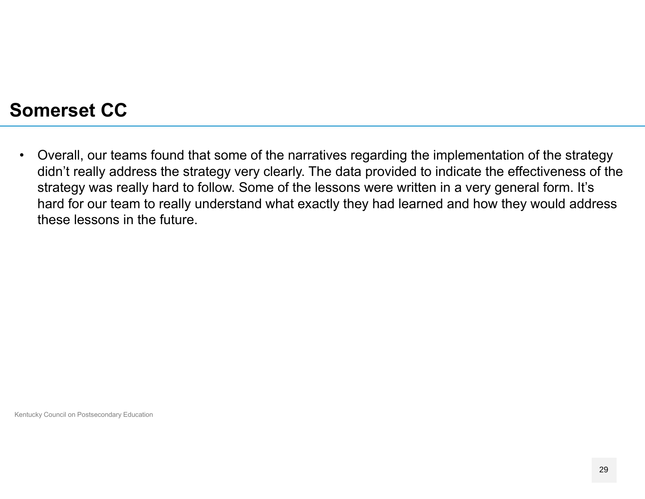#### **Somerset CC**

 $\bullet$  Overall, our teams found that some of the narratives regarding the implementation of the strategy didn't really address the strategy very clearly. The data provided to indicate the effectiveness of the strategy was really hard to follow. Some of the lessons were written in a very general form. It's hard for our team to really understand what exactly they had learned and how they would address these lessons in the future.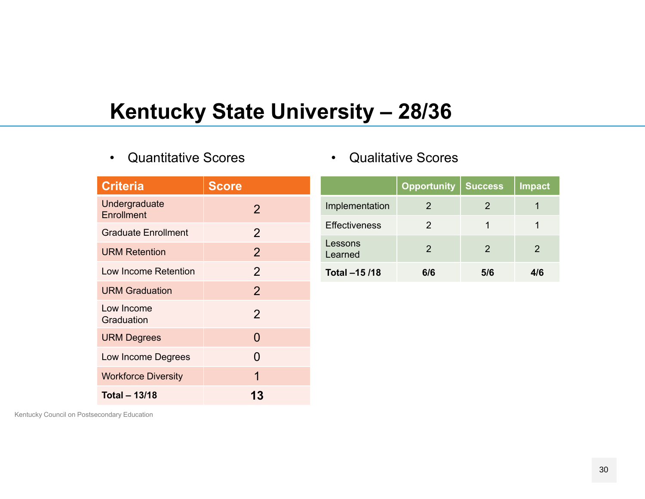# **Kentucky State University – 28/36**

•Quantitative Scores

| <b>Criteria</b>             | <b>Score</b>   |
|-----------------------------|----------------|
| Undergraduate<br>Enrollment | 2              |
| <b>Graduate Enrollment</b>  | $\overline{2}$ |
| <b>URM Retention</b>        | 2              |
| Low Income Retention        | $\overline{2}$ |
| <b>URM Graduation</b>       | $\overline{2}$ |
| Low Income<br>Graduation    | $\overline{2}$ |
| <b>URM Degrees</b>          | 0              |
| Low Income Degrees          | O              |
| <b>Workforce Diversity</b>  | 1              |
| <b>Total - 13/18</b>        | 13             |

|                      | <b>Opportunity</b> | <b>Success</b> | <b>Impact</b> |
|----------------------|--------------------|----------------|---------------|
| Implementation       | 2                  | 2              |               |
| <b>Effectiveness</b> | 2                  |                |               |
| Lessons<br>Learned   | 2                  | 2              | 2             |
| Total -15 /18        | 6/6                | 5/6            | 4/6           |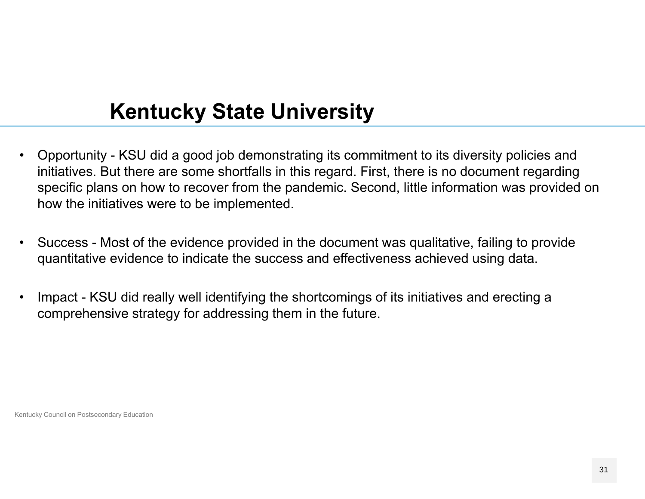# **Kentucky State University**

- $\bullet$  Opportunity - KSU did a good job demonstrating its commitment to its diversity policies and initiatives. But there are some shortfalls in this regard. First, there is no document regarding specific plans on how to recover from the pandemic. Second, little information was provided on how the initiatives were to be implemented.
- • Success - Most of the evidence provided in the document was qualitative, failing to provide quantitative evidence to indicate the success and effectiveness achieved using data.
- • Impact - KSU did really well identifying the shortcomings of its initiatives and erecting a comprehensive strategy for addressing them in the future.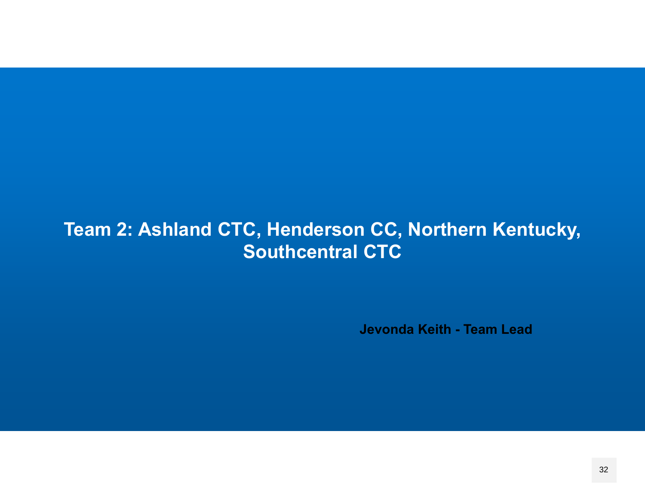### **Team 2: Ashland CTC, Henderson CC, Northern Kentucky, Southcentral CTC**

**Jevonda Keith - Team Lead**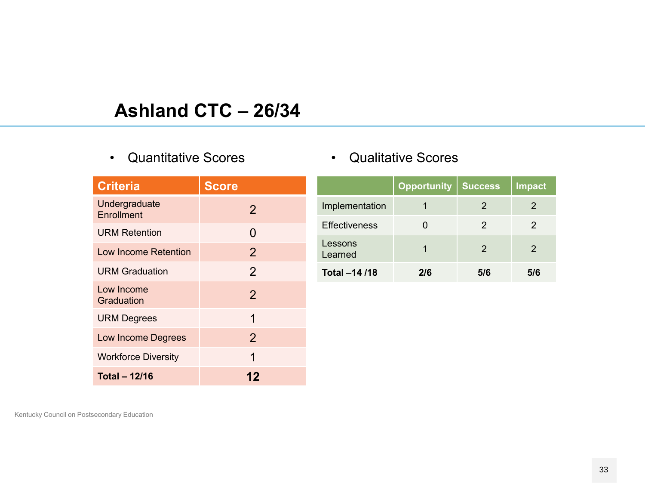## **Ashland CTC – 26/34**

#### • Quantitative Scores

| <b>Criteria</b>             | <b>Score</b>   |
|-----------------------------|----------------|
| Undergraduate<br>Enrollment | 2              |
| <b>URM Retention</b>        | 0              |
| Low Income Retention        | $\overline{2}$ |
| <b>URM Graduation</b>       | $\overline{2}$ |
| Low Income<br>Graduation    | $\overline{2}$ |
| <b>URM Degrees</b>          | 1              |
| <b>Low Income Degrees</b>   | $\overline{2}$ |
| <b>Workforce Diversity</b>  | 1              |
| <b>Total - 12/16</b>        | 12             |

|  | <b>Qualitative Scores</b> |  |
|--|---------------------------|--|
|--|---------------------------|--|

|                      | <b>Opportunity</b> | <b>Success</b> | Impact |
|----------------------|--------------------|----------------|--------|
| Implementation       |                    | 2              | 2      |
| <b>Effectiveness</b> |                    | 2              | 2      |
| Lessons<br>Learned   |                    | 2              | 2      |
| Total -14 /18        | 2/6                | 5/6            | 5/6    |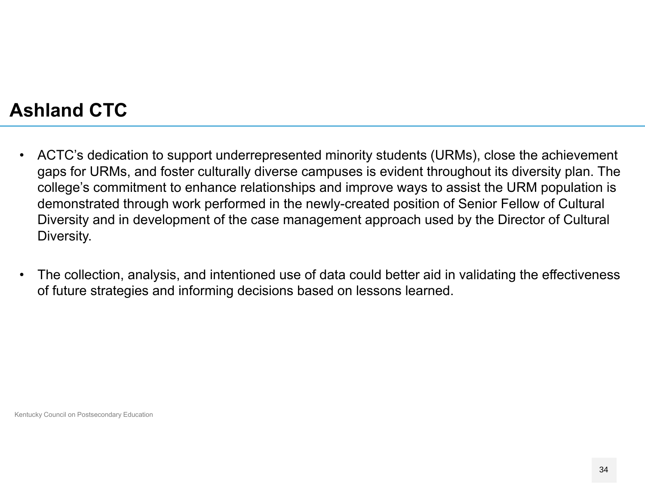## **Ashland CTC**

- $\bullet$  ACTC's dedication to support underrepresented minority students (URMs), close the achievement gaps for URMs, and foster culturally diverse campuses is evident throughout its diversity plan. The college's commitment to enhance relationships and improve ways to assist the URM population is demonstrated through work performed in the newly-created position of Senior Fellow of Cultural Diversity and in development of the case management approach used by the Director of Cultural Diversity.
- $\bullet$  The collection, analysis, and intentioned use of data could better aid in validating the effectiveness of future strategies and informing decisions based on lessons learned.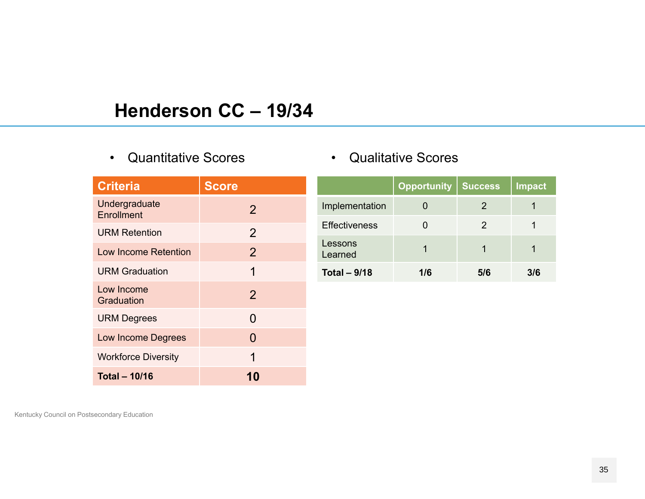#### **Henderson CC – 19/34**

#### • Quantitative Scores

| <b>Criteria</b>                    | <b>Score</b>   |
|------------------------------------|----------------|
| Undergraduate<br><b>Enrollment</b> | $\overline{2}$ |
| <b>URM Retention</b>               | $\overline{2}$ |
| Low Income Retention               | $\overline{2}$ |
| <b>URM Graduation</b>              | 1              |
| Low Income<br>Graduation           | $\overline{2}$ |
| <b>URM Degrees</b>                 | 0              |
| <b>Low Income Degrees</b>          | 0              |
| <b>Workforce Diversity</b>         | 1              |
| <b>Total - 10/16</b>               |                |

#### • Qualitative Scores

|                      | <b>Opportunity</b> | Success | Impact |
|----------------------|--------------------|---------|--------|
| Implementation       |                    | 2       |        |
| <b>Effectiveness</b> |                    | 2       |        |
| Lessons<br>Learned   |                    |         |        |
| Total $-9/18$        | 1/6                | 5/6     | 3/6    |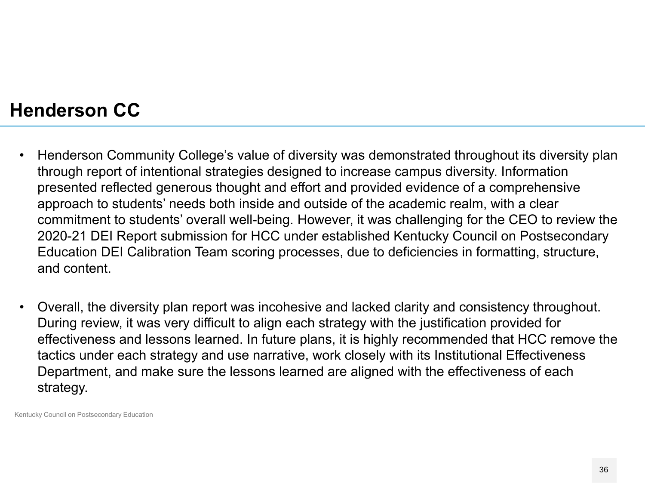#### **Henderson CC**

- $\bullet$  Henderson Community College's value of diversity was demonstrated throughout its diversity plan through report of intentional strategies designed to increase campus diversity. Information presented reflected generous thought and effort and provided evidence of a comprehensive approach to students' needs both inside and outside of the academic realm, with a clear commitment to students' overall well-being. However, it was challenging for the CEO to review the 2020-21 DEI Report submission for HCC under established Kentucky Council on Postsecondary Education DEI Calibration Team scoring processes, due to deficiencies in formatting, structure, and content.
- • Overall, the diversity plan report was incohesive and lacked clarity and consistency throughout. During review, it was very difficult to align each strategy with the justification provided for effectiveness and lessons learned. In future plans, it is highly recommended that HCC remove the tactics under each strategy and use narrative, work closely with its Institutional Effectiveness Department, and make sure the lessons learned are aligned with the effectiveness of each strategy.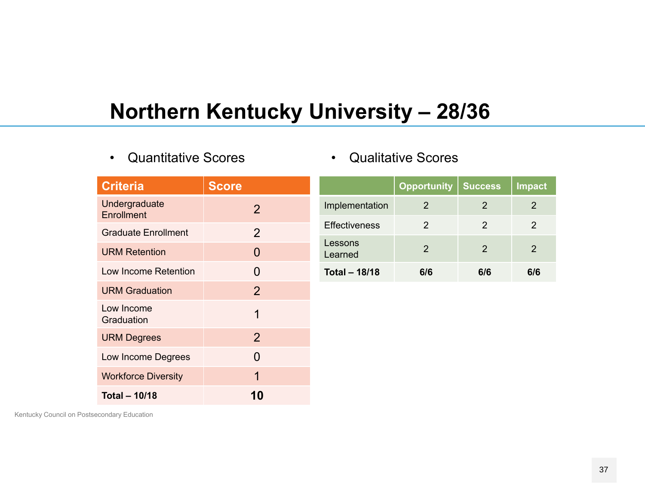# **Northern Kentucky University – 28/36**

•Quantitative Scores

| <b>Criteria</b>                    | <b>Score</b>   |                      | <b>Opportunity</b> | <b>Success</b> | Impa           |
|------------------------------------|----------------|----------------------|--------------------|----------------|----------------|
| Undergraduate<br><b>Enrollment</b> | $\overline{2}$ | Implementation       | 2                  | 2              | 2              |
| <b>Graduate Enrollment</b>         | $\overline{2}$ | <b>Effectiveness</b> | 2                  | 2              | 2              |
| <b>URM Retention</b>               | $\overline{0}$ | Lessons<br>Learned   | $\overline{2}$     | 2              | $\overline{2}$ |
| Low Income Retention               | $\overline{0}$ | <b>Total - 18/18</b> | 6/6                | 6/6            | 6/6            |
| <b>URM Graduation</b>              | $\overline{2}$ |                      |                    |                |                |
| Low Income<br>Graduation           | 1              |                      |                    |                |                |
| <b>URM Degrees</b>                 | 2              |                      |                    |                |                |
| Low Income Degrees                 | $\Omega$       |                      |                    |                |                |
| <b>Workforce Diversity</b>         | 1              |                      |                    |                |                |
| Total $-10/18$                     | 10             |                      |                    |                |                |

Kentucky Council on Postsecondary Education

**Impact** 

 $6/6$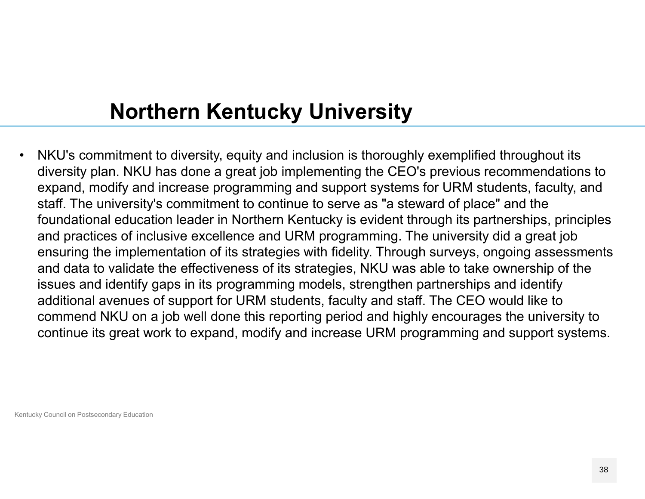# **Northern Kentucky University**

 $\bullet$  NKU's commitment to diversity, equity and inclusion is thoroughly exemplified throughout its diversity plan. NKU has done a great job implementing the CEO's previous recommendations to expand, modify and increase programming and support systems for URM students, faculty, and staff. The university's commitment to continue to serve as "a steward of place" and the foundational education leader in Northern Kentucky is evident through its partnerships, principles and practices of inclusive excellence and URM programming. The university did a great job ensuring the implementation of its strategies with fidelity. Through surveys, ongoing assessments and data to validate the effectiveness of its strategies, NKU was able to take ownership of the issues and identify gaps in its programming models, strengthen partnerships and identify additional avenues of support for URM students, faculty and staff. The CEO would like to commend NKU on a job well done this reporting period and highly encourages the university to continue its great work to expand, modify and increase URM programming and support systems.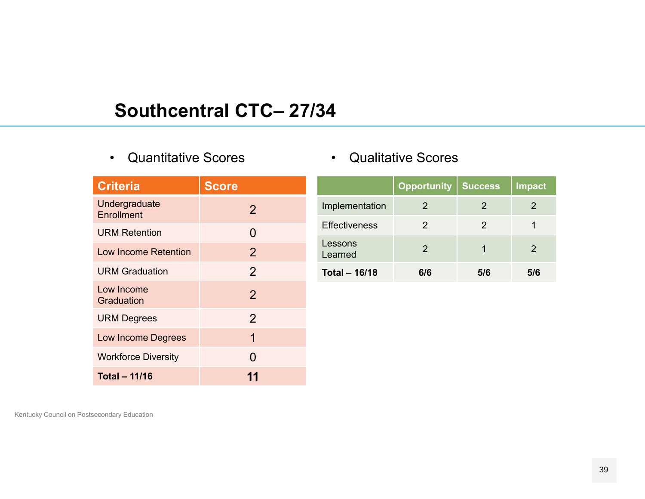## **Southcentral CTC– 27/34**

• Quantitative Scores

| <b>Criteria</b>             | <b>Score</b>   |
|-----------------------------|----------------|
| Undergraduate<br>Enrollment | 2              |
| <b>URM Retention</b>        | 0              |
| Low Income Retention        | 2              |
| <b>URM Graduation</b>       | 2              |
| Low Income<br>Graduation    | $\overline{2}$ |
| <b>URM Degrees</b>          | 2              |
| Low Income Degrees          | 1              |
| <b>Workforce Diversity</b>  | O              |
| Total - 11/16               |                |

|  | <b>Qualitative Scores</b> |  |
|--|---------------------------|--|
|--|---------------------------|--|

|                      | Opportunity   | <b>Success</b> | <b>Impact</b> |
|----------------------|---------------|----------------|---------------|
| Implementation       | 2             | 2              | 2             |
| <b>Effectiveness</b> | 2             | 2              |               |
| Lessons<br>Learned   | $\mathcal{P}$ |                | 2             |
| <b>Total - 16/18</b> | 6/6           | 5/6            | 5/6           |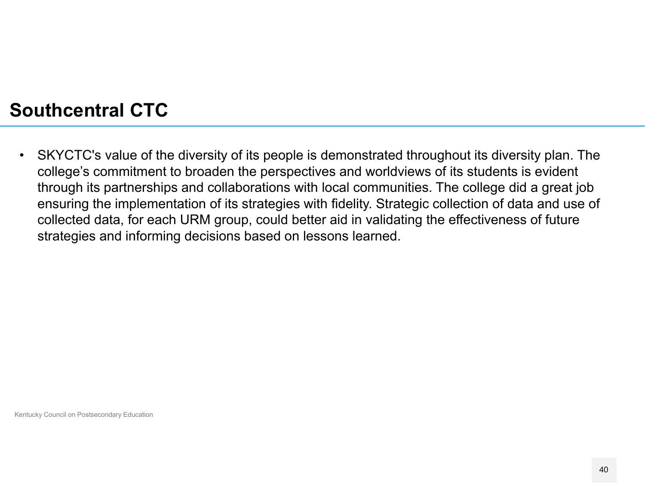#### **Southcentral CTC**

 $\bullet$  SKYCTC's value of the diversity of its people is demonstrated throughout its diversity plan. The college's commitment to broaden the perspectives and worldviews of its students is evident through its partnerships and collaborations with local communities. The college did a great job ensuring the implementation of its strategies with fidelity. Strategic collection of data and use of collected data, for each URM group, could better aid in validating the effectiveness of future strategies and informing decisions based on lessons learned.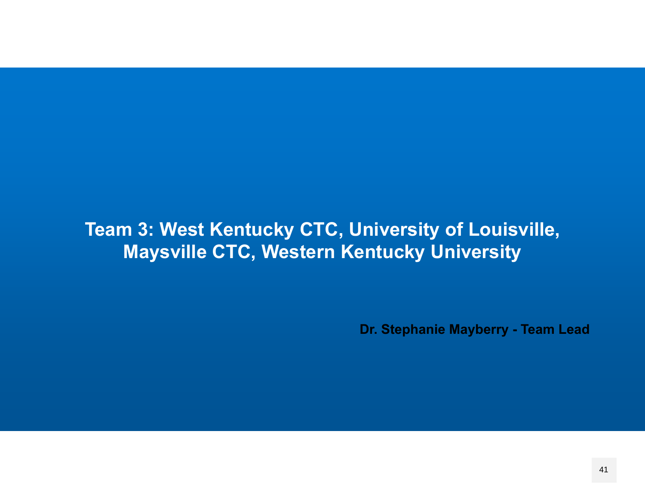### **Team 3: West Kentucky CTC, University of Louisville, Maysville CTC, Western Kentucky University**

**Dr. Stephanie Mayberry - Team Lead**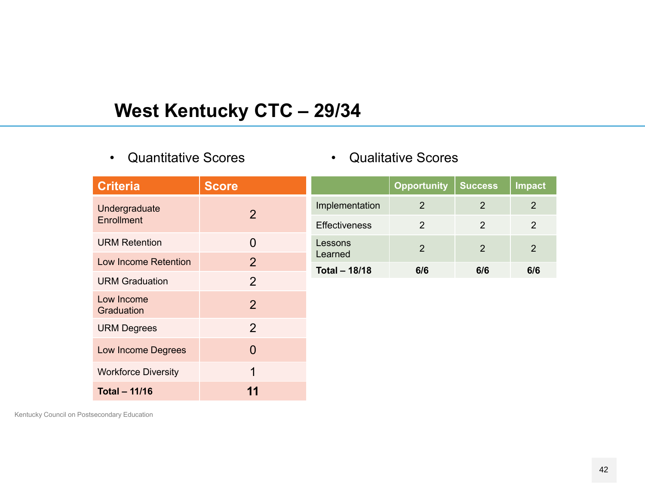## **West Kentucky CTC – 29/34**

•Quantitative Scores

#### •Qualitative Scores

| <b>Criteria</b>            | <b>Score</b>   |                                 | <b>Opportunity</b> | <b>Success</b> | <b>Impact</b>  |
|----------------------------|----------------|---------------------------------|--------------------|----------------|----------------|
| Undergraduate              | $\overline{2}$ | Implementation                  | $\overline{2}$     | 2              | 2              |
| <b>Enrollment</b>          |                | <b>Effectiveness</b>            | $\overline{2}$     | 2              | 2              |
| <b>URM Retention</b>       | $\overline{0}$ | Lessons                         | $\overline{2}$     | 2              | $\overline{2}$ |
| Low Income Retention       | $\overline{2}$ | Learned<br><b>Total - 18/18</b> | 6/6                | 6/6            | 6/6            |
| <b>URM Graduation</b>      | $\overline{2}$ |                                 |                    |                |                |
| Low Income<br>Graduation   | $\overline{2}$ |                                 |                    |                |                |
| <b>URM Degrees</b>         | 2              |                                 |                    |                |                |
| Low Income Degrees         | $\Omega$       |                                 |                    |                |                |
| <b>Workforce Diversity</b> | 1              |                                 |                    |                |                |
| <b>Total - 11/16</b>       | 11             |                                 |                    |                |                |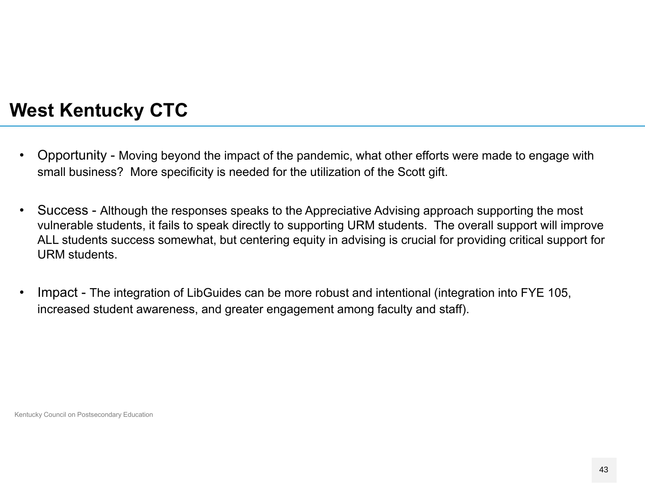### **West Kentucky CTC**

- $\bullet$  Opportunity - Moving beyond the impact of the pandemic, what other efforts were made to engage with small business? More specificity is needed for the utilization of the Scott gift.
- $\bullet$  Success - Although the responses speaks to the Appreciative Advising approach supporting the most vulnerable students, it fails to speak directly to supporting URM students. The overall support will improve ALL students success somewhat, but centering equity in advising is crucial for providing critical support for URM students.
- • Impact - The integration of LibGuides can be more robust and intentional (integration into FYE 105, increased student awareness, and greater engagement among faculty and staff).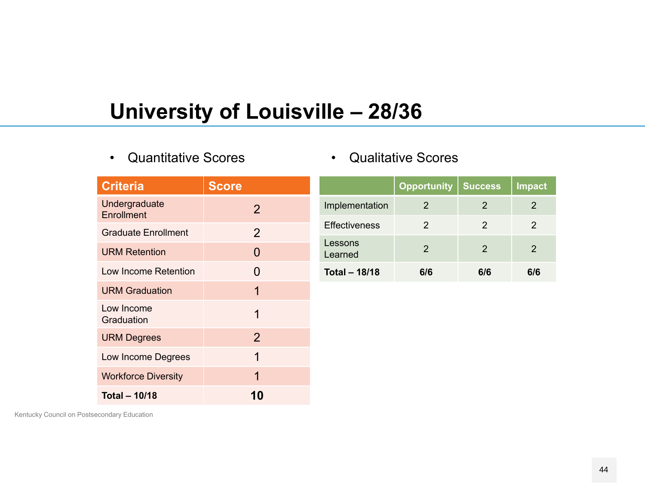# **University of Louisville – 28/36**

•Quantitative Scores

|  | <b>Qualitative Scores</b> |  |
|--|---------------------------|--|
|--|---------------------------|--|

| <b>Criteria</b>                    | <b>Score</b>   |                      | Opportun       |
|------------------------------------|----------------|----------------------|----------------|
| Undergraduate<br><b>Enrollment</b> | $\overline{2}$ | Implementation       | $\mathcal{P}$  |
| <b>Graduate Enrollment</b>         | $\overline{2}$ | <b>Effectiveness</b> | $\overline{2}$ |
| <b>URM Retention</b>               | $\overline{0}$ | Lessons<br>Learned   | $\overline{2}$ |
| Low Income Retention               | 0              | <b>Total - 18/18</b> | 6/6            |
| <b>URM Graduation</b>              | 1              |                      |                |
| Low Income<br>Graduation           | 1              |                      |                |
| <b>URM Degrees</b>                 | $\overline{2}$ |                      |                |
| Low Income Degrees                 | 1              |                      |                |
| <b>Workforce Diversity</b>         | 1              |                      |                |
| <b>Total - 10/18</b>               | 10             |                      |                |

|                      | <b>Opportunity</b> | <b>Success</b> | <b>Impact</b> |
|----------------------|--------------------|----------------|---------------|
| Implementation       | 2                  | 2              | 2             |
| <b>Effectiveness</b> | 2                  | 2              | 2             |
| Lessons<br>Learned   | $\mathcal{P}$      | 2              | 2             |
| <b>Total - 18/18</b> | 6/6                | 6/6            | 6/6           |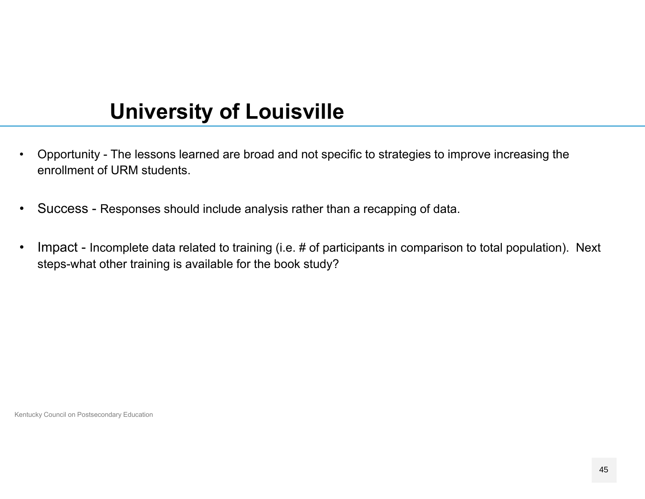# **University of Louisville**

- • Opportunity - The lessons learned are broad and not specific to strategies to improve increasing the enrollment of URM students.
- $\bullet$ Success - Responses should include analysis rather than a recapping of data.
- • Impact - Incomplete data related to training (i.e. # of participants in comparison to total population). Next steps-what other training is available for the book study?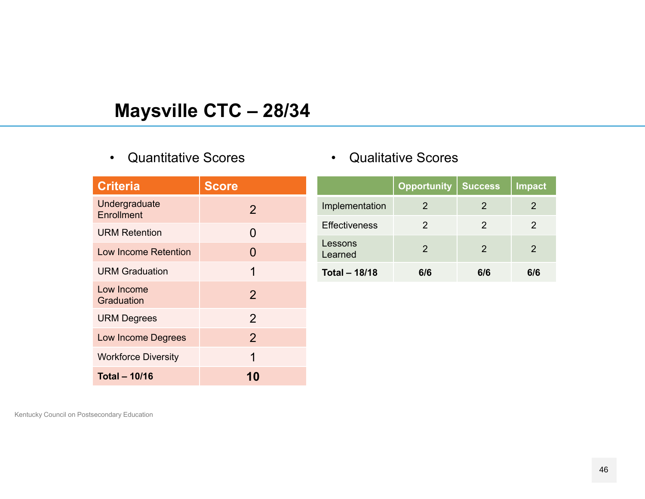## **Maysville CTC – 28/34**

#### •Quantitative Scores

| <b>Criteria</b>             | <b>Score</b>   |
|-----------------------------|----------------|
| Undergraduate<br>Enrollment | $\overline{2}$ |
| <b>URM Retention</b>        | 0              |
| <b>Low Income Retention</b> | 0              |
| <b>URM Graduation</b>       | 1              |
| Low Income<br>Graduation    | $\overline{2}$ |
| <b>URM Degrees</b>          | $\overline{2}$ |
| <b>Low Income Degrees</b>   | $\overline{2}$ |
| <b>Workforce Diversity</b>  | 1              |
| <b>Total - 10/16</b>        |                |

| <b>Qualitative Scores</b> |  |
|---------------------------|--|
|---------------------------|--|

|                      | <b>Opportunity</b> | <b>Success</b> | <b>Impact</b> |
|----------------------|--------------------|----------------|---------------|
| Implementation       | 2                  | 2              | 2             |
| <b>Effectiveness</b> | 2                  | 2              | 2             |
| Lessons<br>Learned   | $\mathcal{P}$      | $\mathcal{P}$  | 2             |
| <b>Total - 18/18</b> | 6/6                | 6/6            | 6/6           |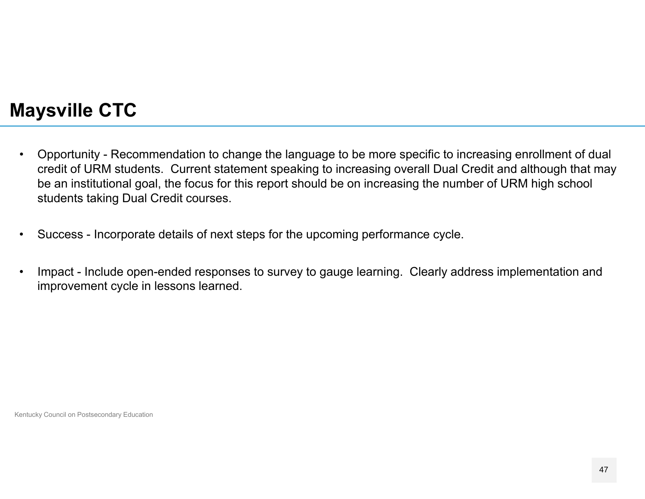## **Maysville CTC**

- $\bullet$  Opportunity - Recommendation to change the language to be more specific to increasing enrollment of dual credit of URM students. Current statement speaking to increasing overall Dual Credit and although that may be an institutional goal, the focus for this report should be on increasing the number of URM high school students taking Dual Credit courses.
- •Success - Incorporate details of next steps for the upcoming performance cycle.
- • Impact - Include open-ended responses to survey to gauge learning. Clearly address implementation and improvement cycle in lessons learned.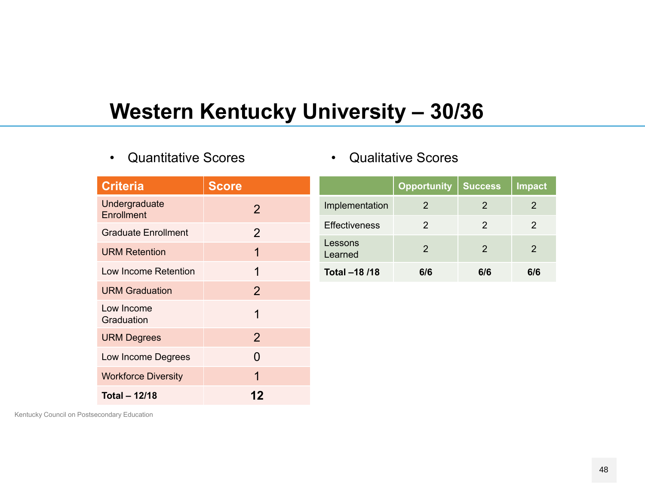# **Western Kentucky University – 30/36**

•Quantitative Scores

|  | <b>Qualitative Scores</b> |  |
|--|---------------------------|--|
|--|---------------------------|--|

| <b>Criteria</b>                    | <b>Score</b>   |                      | <b>Opportunity</b> | <b>Success</b> | <b>Impact</b>  |
|------------------------------------|----------------|----------------------|--------------------|----------------|----------------|
| Undergraduate<br><b>Enrollment</b> | $\overline{2}$ | Implementation       | 2                  | $\overline{2}$ | $\overline{2}$ |
| <b>Graduate Enrollment</b>         | $\overline{2}$ | <b>Effectiveness</b> | 2                  | $\overline{2}$ | $\overline{2}$ |
| <b>URM Retention</b>               | 1              | Lessons<br>Learned   | 2                  | $\overline{2}$ | 2              |
| Low Income Retention               | 1              | Total -18 /18        | 6/6                | 6/6            | 6/6            |
| <b>URM Graduation</b>              | $\overline{2}$ |                      |                    |                |                |
| Low Income<br>Graduation           |                |                      |                    |                |                |
| <b>URM Degrees</b>                 | $\overline{2}$ |                      |                    |                |                |
| Low Income Degrees                 | $\overline{0}$ |                      |                    |                |                |
| <b>Workforce Diversity</b>         |                |                      |                    |                |                |

**12**

Kentucky Council on Postsecondary Education

**Total – 12/18**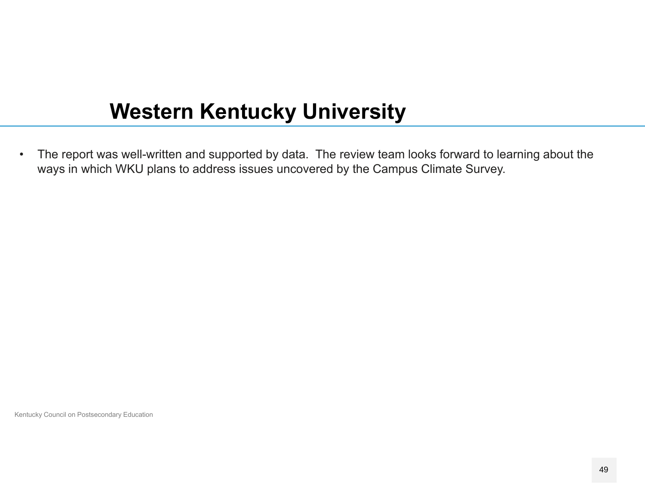# **Western Kentucky University**

• The report was well-written and supported by data. The review team looks forward to learning about the ways in which WKU plans to address issues uncovered by the Campus Climate Survey.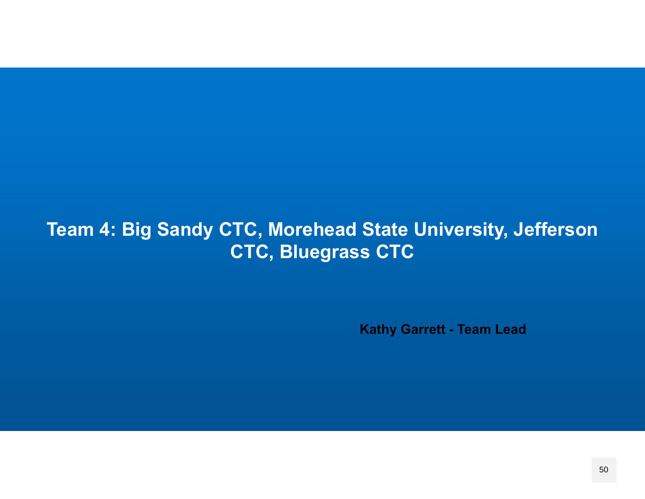## **Team 4: Big Sandy CTC, Morehead State University, Jefferson CTC, Bluegrass CTC**

**Kathy Garrett - Team Lead**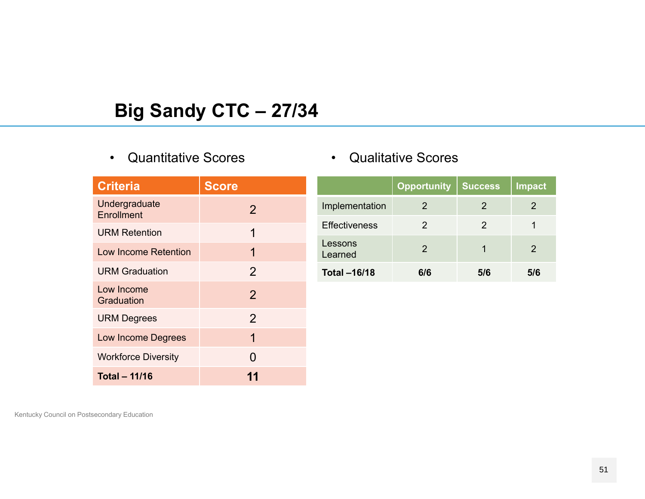## **Big Sandy CTC – 27/34**

#### •Quantitative Scores

| <b>Criteria</b>             | <b>Score</b>   |
|-----------------------------|----------------|
| Undergraduate<br>Enrollment | $\overline{2}$ |
| <b>URM Retention</b>        | 1              |
| Low Income Retention        | 1              |
| <b>URM Graduation</b>       | $\overline{2}$ |
| Low Income<br>Graduation    | $\overline{2}$ |
| <b>URM Degrees</b>          | $\overline{2}$ |
| <b>Low Income Degrees</b>   | 1              |
| <b>Workforce Diversity</b>  | N              |
| <b>Total - 11/16</b>        |                |

#### •Qualitative Scores

|                      | <b>Opportunity</b> | <b>Success</b> | <b>Impact</b> |
|----------------------|--------------------|----------------|---------------|
| Implementation       | 2                  | 2              | 2             |
| <b>Effectiveness</b> | 2                  | 2              |               |
| Lessons<br>Learned   | $\mathcal{P}$      |                | 2             |
| <b>Total -16/18</b>  | 6/6                | 5/6            | 5/6           |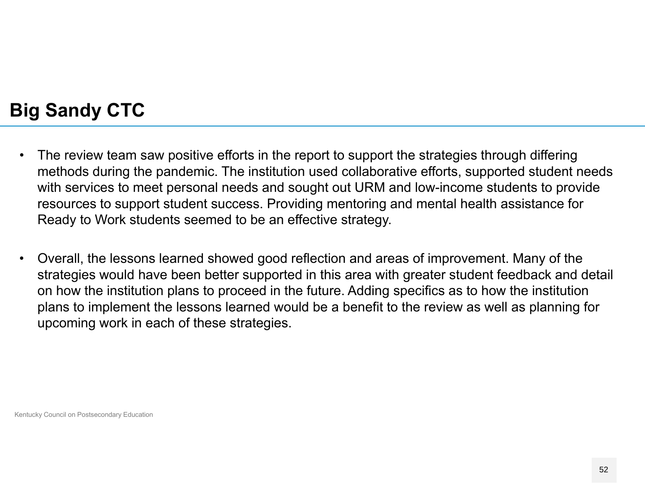## **Big Sandy CTC**

- $\bullet$  The review team saw positive efforts in the report to support the strategies through differing methods during the pandemic. The institution used collaborative efforts, supported student needs with services to meet personal needs and sought out URM and low-income students to provide resources to support student success. Providing mentoring and mental health assistance for Ready to Work students seemed to be an effective strategy.
- $\bullet$  Overall, the lessons learned showed good reflection and areas of improvement. Many of the strategies would have been better supported in this area with greater student feedback and detail on how the institution plans to proceed in the future. Adding specifics as to how the institution plans to implement the lessons learned would be a benefit to the review as well as planning for upcoming work in each of these strategies.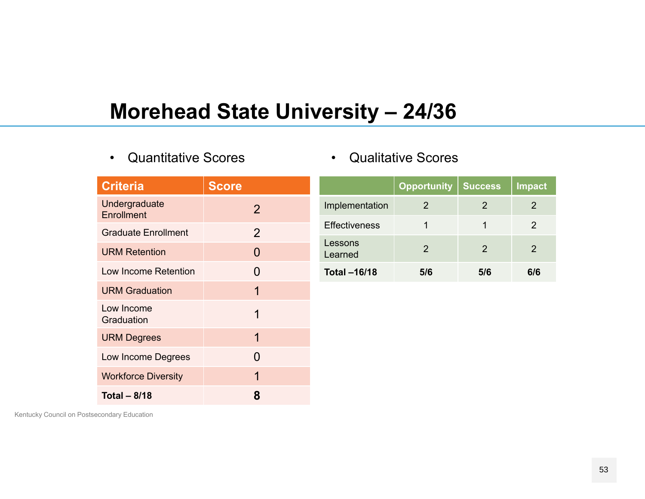# **Morehead State University – 24/36**

•Quantitative Scores

|  |  |  | <b>Qualitative Scores</b> |
|--|--|--|---------------------------|
|--|--|--|---------------------------|

| <b>Criteria</b>                    | <b>Score</b>   |                      | <b>Opportunity</b> | <b>Success</b> | <b>Impact</b>  |
|------------------------------------|----------------|----------------------|--------------------|----------------|----------------|
| Undergraduate<br><b>Enrollment</b> | $\overline{2}$ | Implementation       | 2                  | $\overline{2}$ | $\overline{2}$ |
| <b>Graduate Enrollment</b>         | 2              | <b>Effectiveness</b> | 1                  | 1              | $\overline{2}$ |
| <b>URM Retention</b>               | $\overline{0}$ | Lessons<br>Learned   | $\overline{2}$     | $\overline{2}$ | $\overline{2}$ |
| Low Income Retention               | $\Omega$       | <b>Total-16/18</b>   | 5/6                | 5/6            | 6/6            |
| <b>URM Graduation</b>              | 1              |                      |                    |                |                |
| Low Income<br>Graduation           | 1              |                      |                    |                |                |
| <b>URM Degrees</b>                 | $\mathbf 1$    |                      |                    |                |                |
| Low Income Degrees                 | $\Omega$       |                      |                    |                |                |
| <b>Workforce Diversity</b>         | 1              |                      |                    |                |                |
| Total $-8/18$                      | 8              |                      |                    |                |                |

Kentucky Council on Postsecondary Education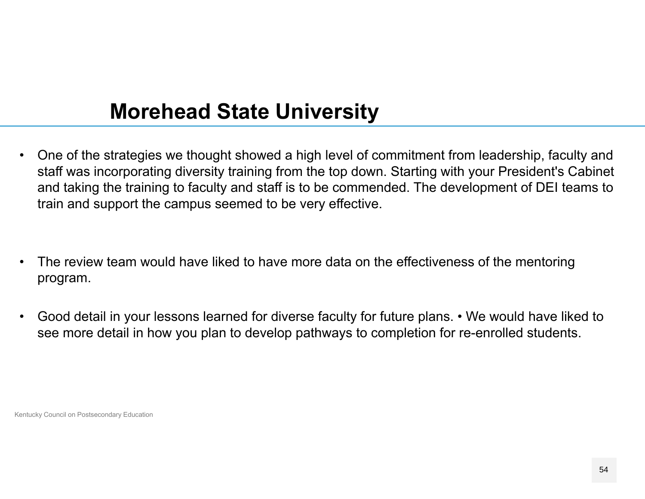# **Morehead State University**

- $\bullet$  One of the strategies we thought showed a high level of commitment from leadership, faculty and staff was incorporating diversity training from the top down. Starting with your President's Cabinet and taking the training to faculty and staff is to be commended. The development of DEI teams to train and support the campus seemed to be very effective.
- • The review team would have liked to have more data on the effectiveness of the mentoring program.
- $\bullet$  Good detail in your lessons learned for diverse faculty for future plans. • We would have liked to see more detail in how you plan to develop pathways to completion for re-enrolled students.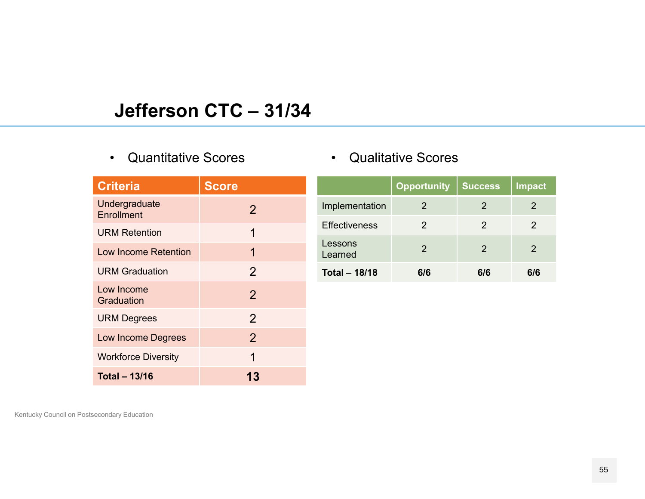### **Jefferson CTC – 31/34**

#### • Quantitative Scores

| <b>Criteria</b>             | <b>Score</b>   |
|-----------------------------|----------------|
| Undergraduate<br>Enrollment | $\overline{2}$ |
| <b>URM Retention</b>        | 1              |
| <b>Low Income Retention</b> | 1              |
| <b>URM Graduation</b>       | $\overline{2}$ |
| Low Income<br>Graduation    | $\overline{2}$ |
| <b>URM Degrees</b>          | $\overline{2}$ |
| <b>Low Income Degrees</b>   | $\overline{2}$ |
| <b>Workforce Diversity</b>  | 1              |
| <b>Total - 13/16</b>        | 13             |

| <b>Qualitative Scores</b> |
|---------------------------|
|                           |

|                      | <b>Opportunity</b> | <b>Success</b> | <b>Impact</b> |
|----------------------|--------------------|----------------|---------------|
| Implementation       | 2                  | 2              | 2             |
| <b>Effectiveness</b> | 2                  | 2              | 2             |
| Lessons<br>Learned   | $\mathcal{P}$      | 2              | 2             |
| <b>Total - 18/18</b> | 6/6                | 6/6            | ิ 6/6         |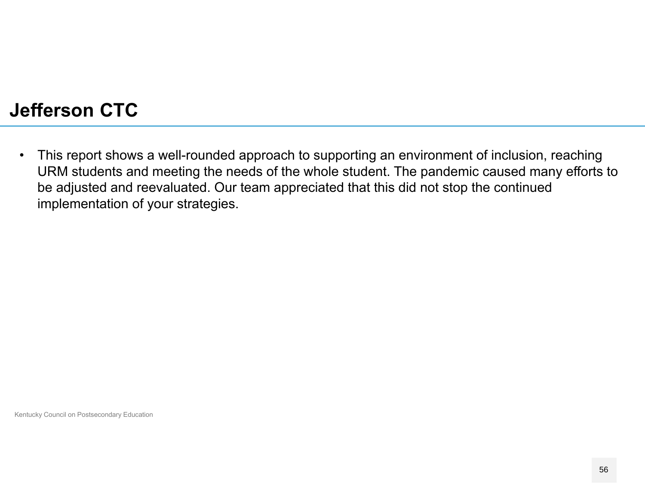## **Jefferson CTC**

 $\bullet$  This report shows a well-rounded approach to supporting an environment of inclusion, reaching URM students and meeting the needs of the whole student. The pandemic caused many efforts to be adjusted and reevaluated. Our team appreciated that this did not stop the continued implementation of your strategies.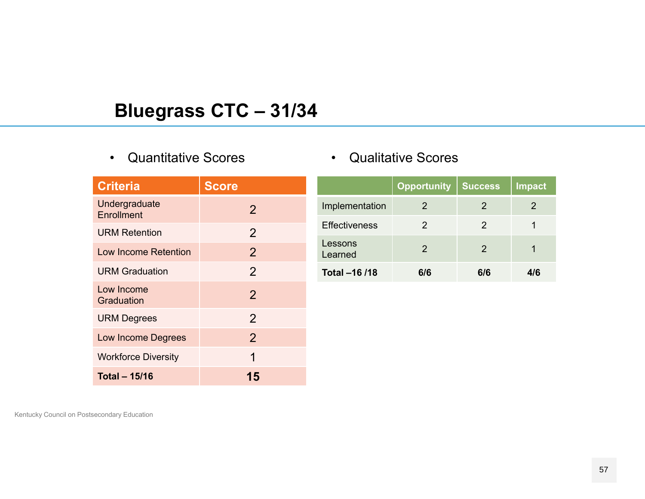## **Bluegrass CTC – 31/34**

#### •Quantitative Scores

| <b>Criteria</b>             | <b>Score</b>   |
|-----------------------------|----------------|
| Undergraduate<br>Enrollment | $\overline{2}$ |
| <b>URM Retention</b>        | $\overline{2}$ |
| Low Income Retention        | $\overline{2}$ |
| <b>URM Graduation</b>       | $\overline{2}$ |
| Low Income<br>Graduation    | $\overline{2}$ |
| <b>URM Degrees</b>          | $\overline{2}$ |
| <b>Low Income Degrees</b>   | $\overline{2}$ |
| <b>Workforce Diversity</b>  | 1              |
| <b>Total - 15/16</b>        | 15             |

|  | <b>Qualitative Scores</b> |  |
|--|---------------------------|--|
|--|---------------------------|--|

|                      | <b>Opportunity</b> | <b>Success</b> | <b>Impact</b> |
|----------------------|--------------------|----------------|---------------|
| Implementation       | ン                  | 2              | 2             |
| <b>Effectiveness</b> | 2                  | 2              |               |
| Lessons<br>Learned   | $\mathcal{P}$      | 2              |               |
| Total -16 /18        | 6/6                | 6/6            |               |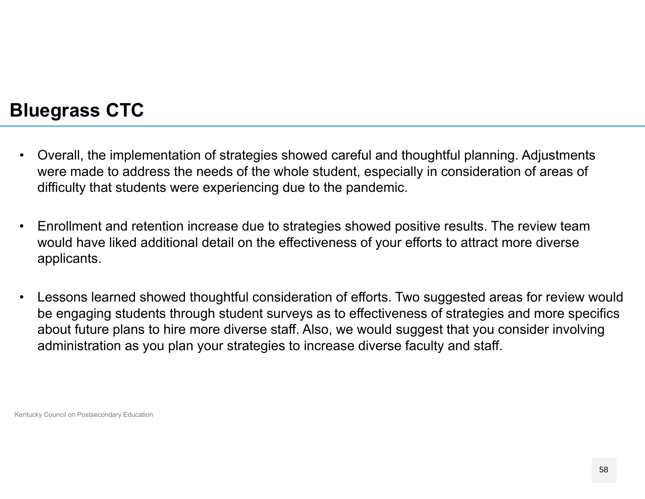#### **Bluegrass CTC**

- $\bullet$  Overall, the implementation of strategies showed careful and thoughtful planning. Adjustments were made to address the needs of the whole student, especially in consideration of areas of difficulty that students were experiencing due to the pandemic.
- $\bullet$  Enrollment and retention increase due to strategies showed positive results. The review team would have liked additional detail on the effectiveness of your efforts to attract more diverse applicants.
- $\bullet$  Lessons learned showed thoughtful consideration of efforts. Two suggested areas for review would be engaging students through student surveys as to effectiveness of strategies and more specifics about future plans to hire more diverse staff. Also, we would suggest that you consider involving administration as you plan your strategies to increase diverse faculty and staff.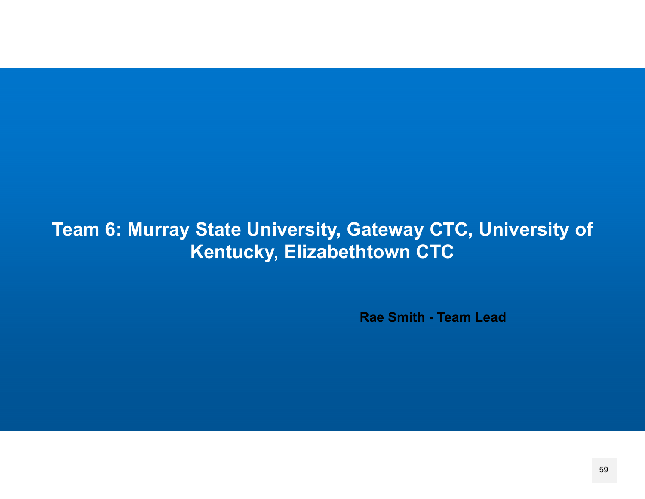## **Team 6: Murray State University, Gateway CTC, University of Kentucky, Elizabethtown CTC**

**Rae Smith - Team Lead**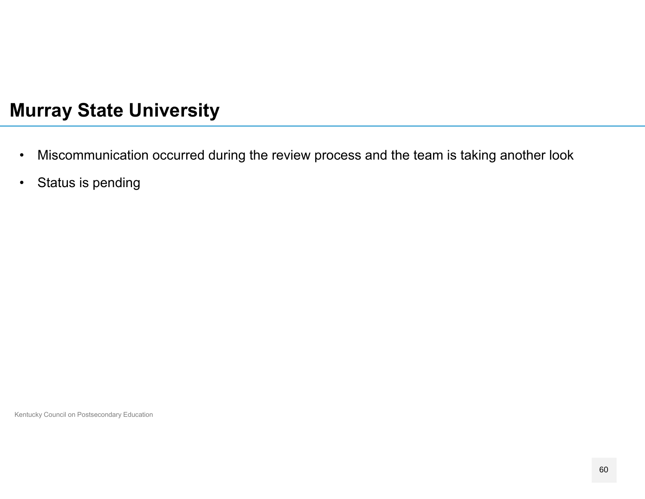#### **Murray State University**

- •Miscommunication occurred during the review process and the team is taking another look
- $\bullet$ Status is pending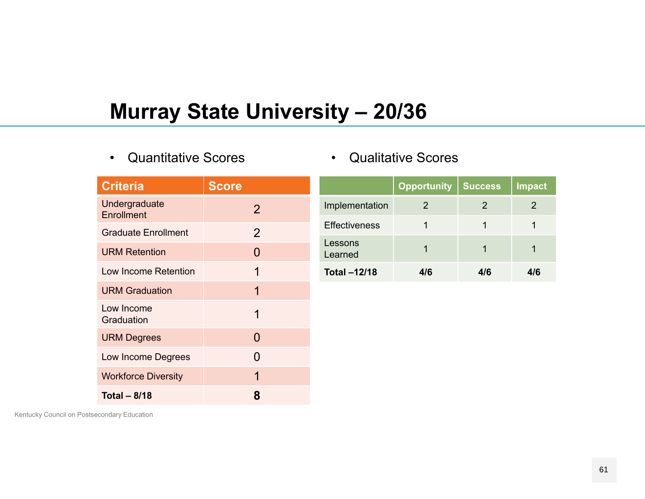# **Murray State University - 20/36**

•Quantitative Scores

|  |  |  | <b>Qualitative Scores</b> |
|--|--|--|---------------------------|
|--|--|--|---------------------------|

| <b>Criteria</b>             | <b>Score</b>   |                      | <b>Opportunity</b> |
|-----------------------------|----------------|----------------------|--------------------|
| Undergraduate<br>Enrollment | $\overline{2}$ | Implementation       | 2                  |
| <b>Graduate Enrollment</b>  | $\overline{2}$ | <b>Effectiveness</b> | 1                  |
| <b>URM Retention</b>        | $\Omega$       | Lessons<br>Learned   | 1                  |
| Low Income Retention        | 1              | <b>Total-12/18</b>   | 4/6                |
| <b>URM Graduation</b>       | 1              |                      |                    |
| Low Income<br>Graduation    | 1              |                      |                    |
| <b>URM Degrees</b>          | $\Omega$       |                      |                    |
| Low Income Degrees          | 0              |                      |                    |
| <b>Workforce Diversity</b>  | 1              |                      |                    |
| <b>Total - 8/18</b>         | 8              |                      |                    |

|                      | <b>Opportunity</b> | <b>Success</b> | <b>Impact</b> |
|----------------------|--------------------|----------------|---------------|
| Implementation       |                    |                |               |
| <b>Effectiveness</b> |                    |                |               |
| Lessons<br>Learned   |                    |                |               |
| <b>Total-12/18</b>   | 4/6                | 4/6            |               |

and the control of the con-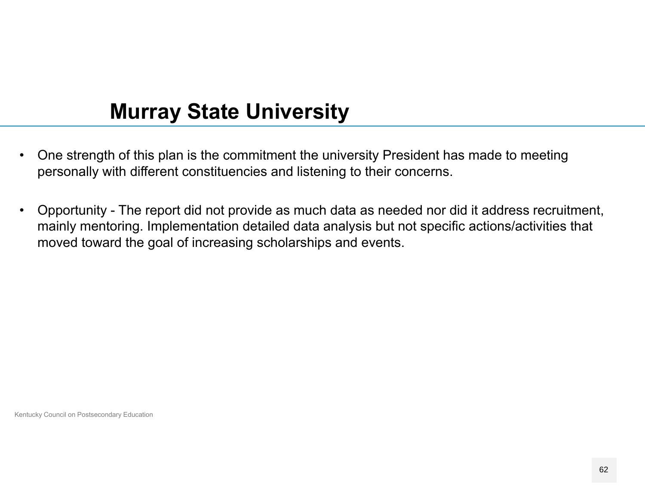# **Murray State University**

- $\bullet$  One strength of this plan is the commitment the university President has made to meeting personally with different constituencies and listening to their concerns.
- $\bullet$  Opportunity - The report did not provide as much data as needed nor did it address recruitment, mainly mentoring. Implementation detailed data analysis but not specific actions/activities that moved toward the goal of increasing scholarships and events.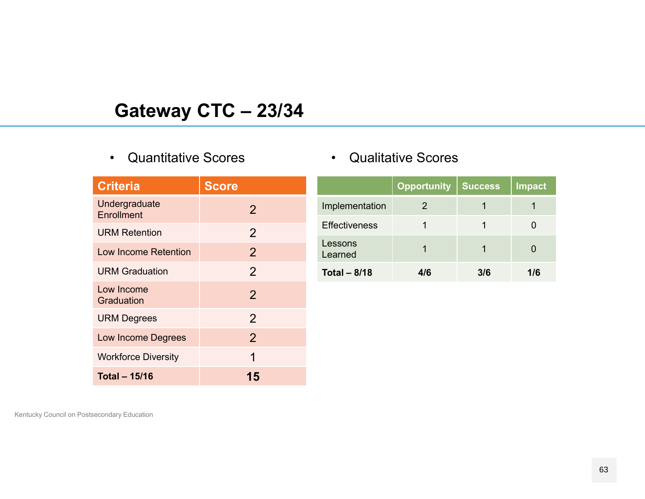## **Gateway CTC – 23/34**

#### •Quantitative Scores

| <b>Criteria</b>             | <b>Score</b>   |
|-----------------------------|----------------|
| Undergraduate<br>Enrollment | $\overline{2}$ |
| <b>URM Retention</b>        | $\overline{2}$ |
| <b>Low Income Retention</b> | $\overline{2}$ |
| <b>URM Graduation</b>       | $\overline{2}$ |
| Low Income<br>Graduation    | $\overline{2}$ |
| <b>URM Degrees</b>          | $\overline{2}$ |
| <b>Low Income Degrees</b>   | $\overline{2}$ |
| <b>Workforce Diversity</b>  | 1              |
| <b>Total - 15/16</b>        | 15             |

#### $\bullet$ Qualitative Scores

|                      | <b>Opportunity</b> | <b>Success</b> | Impact |
|----------------------|--------------------|----------------|--------|
| Implementation       | 2                  |                |        |
| <b>Effectiveness</b> |                    |                |        |
| Lessons<br>Learned   |                    |                |        |
| Total $-8/18$        | 4/6                | 3/6            | 1/6    |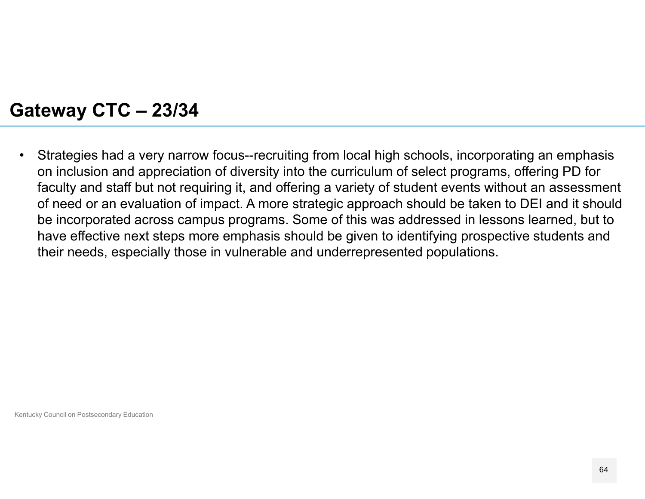#### **Gateway CTC – 23/34**

• Strategies had a very narrow focus--recruiting from local high schools, incorporating an emphasis on inclusion and appreciation of diversity into the curriculum of select programs, offering PD for faculty and staff but not requiring it, and offering a variety of student events without an assessment of need or an evaluation of impact. A more strategic approach should be taken to DEI and it should be incorporated across campus programs. Some of this was addressed in lessons learned, but to have effective next steps more emphasis should be given to identifying prospective students and their needs, especially those in vulnerable and underrepresented populations.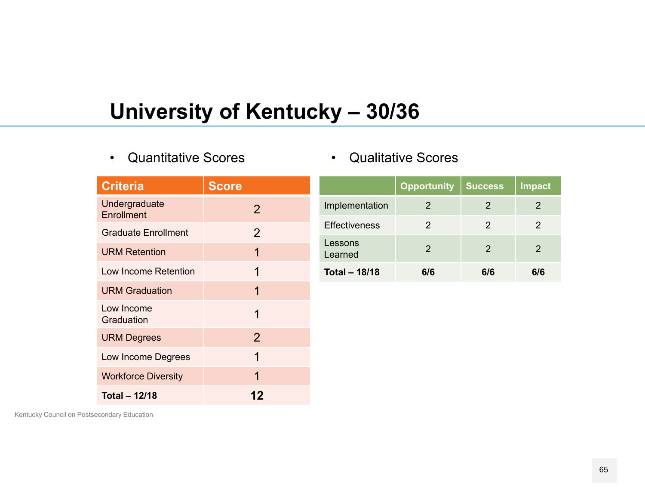# **University of Kentucky – 30/36**

**12**

•Quantitative Scores

|  | <b>Qualitative Scores</b> |  |
|--|---------------------------|--|
|--|---------------------------|--|

| <b>Criteria</b>                    | <b>Score</b>   |                      | <b>Opportunity</b> | <b>Success</b> | <b>Impact</b> |
|------------------------------------|----------------|----------------------|--------------------|----------------|---------------|
| Undergraduate<br><b>Enrollment</b> | 2              | Implementation       | $\overline{2}$     | $\overline{2}$ | 2             |
| <b>Graduate Enrollment</b>         | $\overline{2}$ | <b>Effectiveness</b> | 2                  | $\overline{2}$ | 2             |
| <b>URM Retention</b>               | 1              | Lessons<br>Learned   | $\overline{2}$     | $\overline{2}$ | 2             |
| Low Income Retention               | 1              | <b>Total - 18/18</b> | 6/6                | 6/6            | 6/6           |
| <b>URM Graduation</b>              | 1              |                      |                    |                |               |
| Low Income<br>Graduation           |                |                      |                    |                |               |
| <b>URM Degrees</b>                 | $\overline{2}$ |                      |                    |                |               |
| Low Income Degrees                 | 1              |                      |                    |                |               |
| <b>Workforce Diversity</b>         |                |                      |                    |                |               |

Kentucky Council on Postsecondary Education

**Total – 12/18**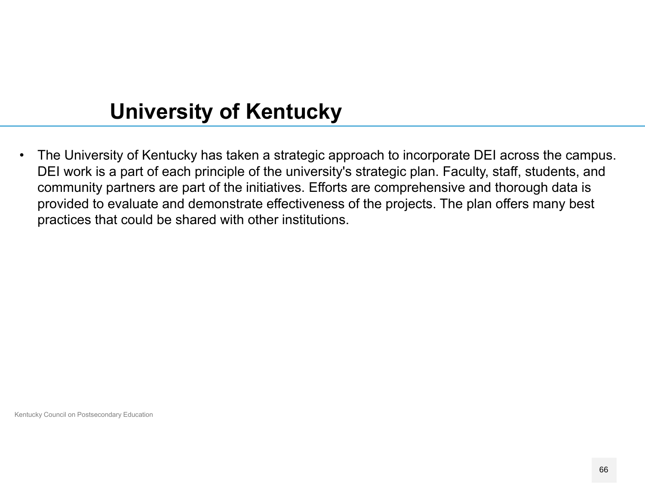# **University of Kentucky**

 $\bullet$  The University of Kentucky has taken a strategic approach to incorporate DEI across the campus. DEI work is a part of each principle of the university's strategic plan. Faculty, staff, students, and community partners are part of the initiatives. Efforts are comprehensive and thorough data is provided to evaluate and demonstrate effectiveness of the projects. The plan offers many best practices that could be shared with other institutions.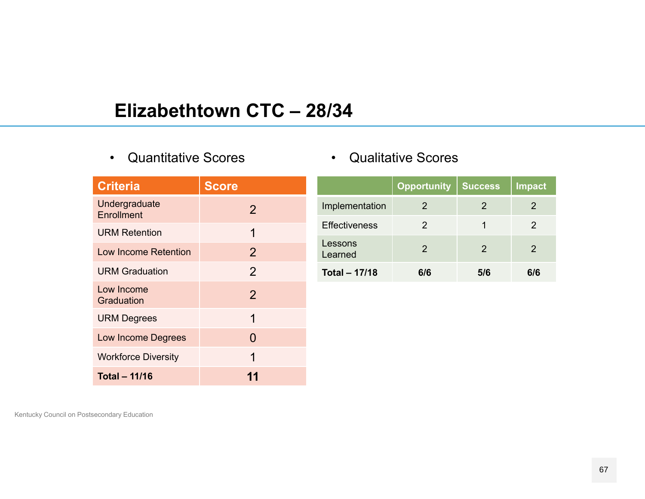## **Elizabethtown CTC – 28/34**

• Quantitative Scores

| <b>Criteria</b>             | <b>Score</b>   |
|-----------------------------|----------------|
| Undergraduate<br>Enrollment | 2              |
| <b>URM Retention</b>        | 1              |
| Low Income Retention        | 2              |
| <b>URM Graduation</b>       | $\overline{2}$ |
| Low Income<br>Graduation    | $\overline{2}$ |
| <b>URM Degrees</b>          | 1              |
| <b>Low Income Degrees</b>   | 0              |
| <b>Workforce Diversity</b>  | 1              |
| Total - 11/16               |                |

|  | <b>Qualitative Scores</b> |  |
|--|---------------------------|--|
|--|---------------------------|--|

|                      | <b>Opportunity</b> | <b>Success</b> | <b>Impact</b> |
|----------------------|--------------------|----------------|---------------|
| Implementation       | ン                  | $\mathcal{P}$  | 2             |
| <b>Effectiveness</b> | 2                  |                | 2             |
| Lessons<br>Learned   | $\mathcal{P}$      | 2              | 2             |
| <b>Total - 17/18</b> | 616                | 5/6            | 616           |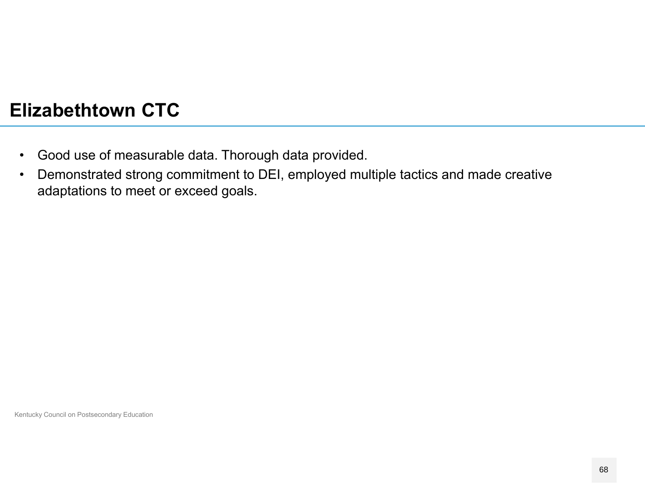## **Elizabethtown CTC**

- $\bullet$ Good use of measurable data. Thorough data provided.
- • Demonstrated strong commitment to DEI, employed multiple tactics and made creative adaptations to meet or exceed goals.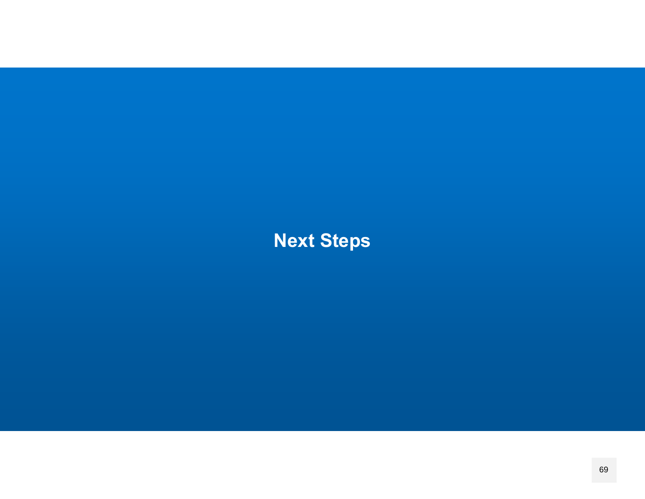**Next Steps**